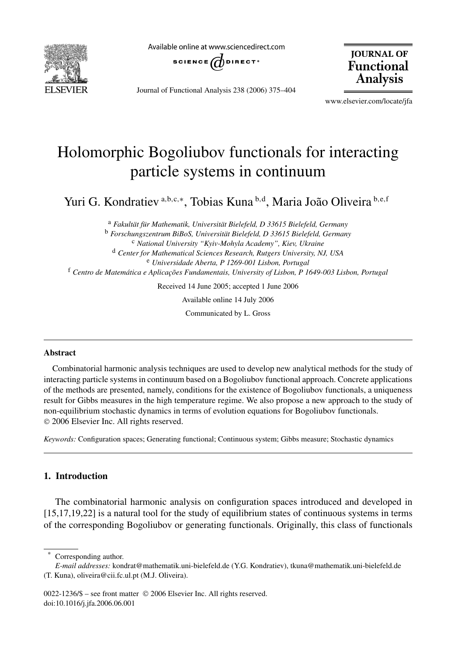

Available online at www.sciencedirect.com



Journal of Functional Analysis 238 (2006) 375–404

**JOURNAL OF Functional Analysis** 

www.elsevier.com/locate/jfa

# Holomorphic Bogoliubov functionals for interacting particle systems in continuum

Yuri G. Kondratiev <sup>a</sup>*,*b*,*c*,*<sup>∗</sup> , Tobias Kuna <sup>b</sup>*,*<sup>d</sup> , Maria João Oliveira <sup>b</sup>*,*e*,*<sup>f</sup>

<sup>a</sup> *Fakultät für Mathematik, Universität Bielefeld, D 33615 Bielefeld, Germany* <sup>b</sup> *Forschungszentrum BiBoS, Universität Bielefeld, D 33615 Bielefeld, Germany* <sup>c</sup> *National University "Kyiv-Mohyla Academy", Kiev, Ukraine* <sup>d</sup> *Center for Mathematical Sciences Research, Rutgers University, NJ, USA* <sup>e</sup> *Universidade Aberta, P 1269-001 Lisbon, Portugal* <sup>f</sup> *Centro de Matemática e Aplicações Fundamentais, University of Lisbon, P 1649-003 Lisbon, Portugal* Received 14 June 2005; accepted 1 June 2006

Available online 14 July 2006

Communicated by L. Gross

## **Abstract**

Combinatorial harmonic analysis techniques are used to develop new analytical methods for the study of interacting particle systems in continuum based on a Bogoliubov functional approach. Concrete applications of the methods are presented, namely, conditions for the existence of Bogoliubov functionals, a uniqueness result for Gibbs measures in the high temperature regime. We also propose a new approach to the study of non-equilibrium stochastic dynamics in terms of evolution equations for Bogoliubov functionals. © 2006 Elsevier Inc. All rights reserved.

*Keywords:* Configuration spaces; Generating functional; Continuous system; Gibbs measure; Stochastic dynamics

# **1. Introduction**

The combinatorial harmonic analysis on configuration spaces introduced and developed in [15,17,19,22] is a natural tool for the study of equilibrium states of continuous systems in terms of the corresponding Bogoliubov or generating functionals. Originally, this class of functionals

0022-1236/\$ – see front matter © 2006 Elsevier Inc. All rights reserved. doi:10.1016/j.jfa.2006.06.001

Corresponding author.

*E-mail addresses:* kondrat@mathematik.uni-bielefeld.de (Y.G. Kondratiev), tkuna@mathematik.uni-bielefeld.de (T. Kuna), oliveira@cii.fc.ul.pt (M.J. Oliveira).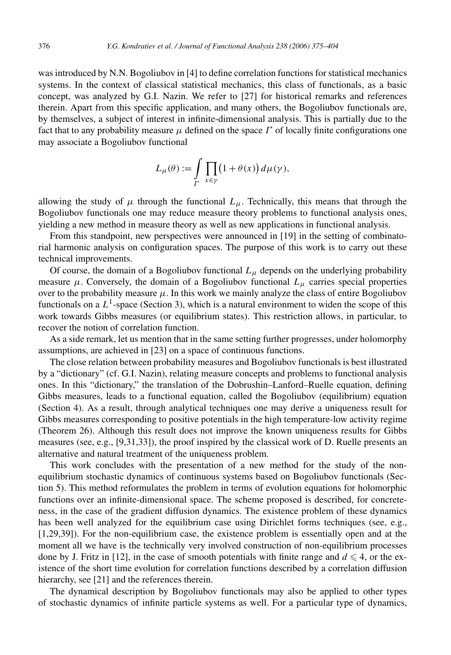was introduced by N.N. Bogoliubov in [4] to define correlation functions for statistical mechanics systems. In the context of classical statistical mechanics, this class of functionals, as a basic concept, was analyzed by G.I. Nazin. We refer to [27] for historical remarks and references therein. Apart from this specific application, and many others, the Bogoliubov functionals are, by themselves, a subject of interest in infinite-dimensional analysis. This is partially due to the fact that to any probability measure  $\mu$  defined on the space  $\Gamma$  of locally finite configurations one may associate a Bogoliubov functional

$$
L_{\mu}(\theta) := \int\limits_{\Gamma} \prod_{x \in \gamma} (1 + \theta(x)) d\mu(\gamma),
$$

allowing the study of  $\mu$  through the functional  $L_{\mu}$ . Technically, this means that through the Bogoliubov functionals one may reduce measure theory problems to functional analysis ones, yielding a new method in measure theory as well as new applications in functional analysis.

From this standpoint, new perspectives were announced in [19] in the setting of combinatorial harmonic analysis on configuration spaces. The purpose of this work is to carry out these technical improvements.

Of course, the domain of a Bogoliubov functional  $L<sub>\mu</sub>$  depends on the underlying probability measure  $\mu$ . Conversely, the domain of a Bogoliubov functional  $L_{\mu}$  carries special properties over to the probability measure  $\mu$ . In this work we mainly analyze the class of entire Bogoliubov functionals on a  $L^1$ -space (Section 3), which is a natural environment to widen the scope of this work towards Gibbs measures (or equilibrium states). This restriction allows, in particular, to recover the notion of correlation function.

As a side remark, let us mention that in the same setting further progresses, under holomorphy assumptions, are achieved in [23] on a space of continuous functions.

The close relation between probability measures and Bogoliubov functionals is best illustrated by a "dictionary" (cf. G.I. Nazin), relating measure concepts and problems to functional analysis ones. In this "dictionary," the translation of the Dobrushin–Lanford–Ruelle equation, defining Gibbs measures, leads to a functional equation, called the Bogoliubov (equilibrium) equation (Section 4). As a result, through analytical techniques one may derive a uniqueness result for Gibbs measures corresponding to positive potentials in the high temperature-low activity regime (Theorem 26). Although this result does not improve the known uniqueness results for Gibbs measures (see, e.g., [9,31,33]), the proof inspired by the classical work of D. Ruelle presents an alternative and natural treatment of the uniqueness problem.

This work concludes with the presentation of a new method for the study of the nonequilibrium stochastic dynamics of continuous systems based on Bogoliubov functionals (Section 5). This method reformulates the problem in terms of evolution equations for holomorphic functions over an infinite-dimensional space. The scheme proposed is described, for concreteness, in the case of the gradient diffusion dynamics. The existence problem of these dynamics has been well analyzed for the equilibrium case using Dirichlet forms techniques (see, e.g., [1,29,39]). For the non-equilibrium case, the existence problem is essentially open and at the moment all we have is the technically very involved construction of non-equilibrium processes done by J. Fritz in [12], in the case of smooth potentials with finite range and  $d \leq 4$ , or the existence of the short time evolution for correlation functions described by a correlation diffusion hierarchy, see [21] and the references therein.

The dynamical description by Bogoliubov functionals may also be applied to other types of stochastic dynamics of infinite particle systems as well. For a particular type of dynamics,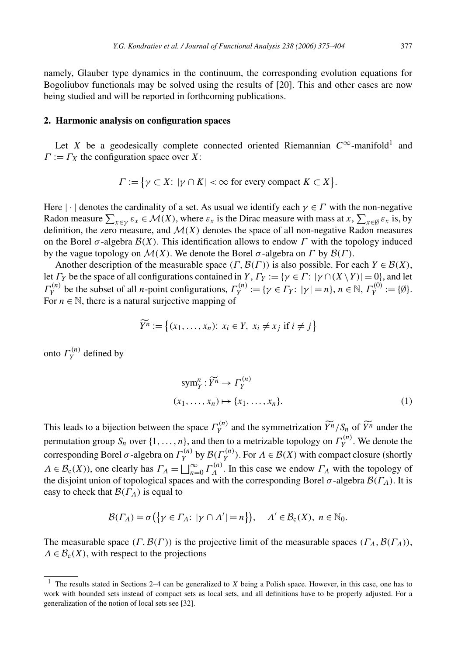namely, Glauber type dynamics in the continuum, the corresponding evolution equations for Bogoliubov functionals may be solved using the results of [20]. This and other cases are now being studied and will be reported in forthcoming publications.

## **2. Harmonic analysis on configuration spaces**

Let *X* be a geodesically complete connected oriented Riemannian  $C^{\infty}$ -manifold<sup>1</sup> and  $\Gamma := \Gamma_X$  the configuration space over *X*:

$$
\Gamma := \{ \gamma \subset X : |\gamma \cap K| < \infty \text{ for every compact } K \subset X \}.
$$

Here  $|\cdot|$  denotes the cardinality of a set. As usual we identify each  $\gamma \in \Gamma$  with the non-negative Radon measure  $\sum_{x \in \gamma} \varepsilon_x \in \mathcal{M}(X)$ , where  $\varepsilon_x$  is the Dirac measure with mass at  $x$ ,  $\sum_{x \in \emptyset} \varepsilon_x$  is, by definition, the zero measure, and  $\mathcal{M}(X)$  denotes the space of all non-negative Radon measures on the Borel  $\sigma$ -algebra  $\mathcal{B}(X)$ . This identification allows to endow  $\Gamma$  with the topology induced by the vague topology on  $\mathcal{M}(X)$ . We denote the Borel  $\sigma$ -algebra on  $\Gamma$  by  $\mathcal{B}(\Gamma)$ .

Another description of the measurable space  $(\Gamma, \mathcal{B}(\Gamma))$  is also possible. For each  $Y \in \mathcal{B}(X)$ , let *Γy* be the space of all configurations contained in *Y*,  $\Gamma_Y := \{ \gamma \in \Gamma : |\gamma \cap (X \setminus Y)| = 0 \}$ , and let *Γ*<sup>(*n*</sup>)</sub> be the subset of all *n*-point configurations,  $\Gamma_Y^{(n)} := \{ \gamma \in \Gamma_Y : |\gamma| = n \}, n \in \mathbb{N}, \Gamma_Y^{(0)} := \{ \emptyset \}.$ For  $n \in \mathbb{N}$ , there is a natural surjective mapping of

$$
\widetilde{Y}^n := \{ (x_1, \dots, x_n) \colon x_i \in Y, \ x_i \neq x_j \text{ if } i \neq j \}
$$

onto  $\Gamma_Y^{(n)}$  defined by

$$
symnY: \widetilde{Y}^n \to \Gamma_Y^{(n)}
$$
  

$$
(x_1, \ldots, x_n) \mapsto \{x_1, \ldots, x_n\}.
$$
 (1)

This leads to a bijection between the space  $\Gamma_Y^{(n)}$  and the symmetrization  $\widetilde{Y}^n/S_n$  of  $\widetilde{Y}^n$  under the permutation group  $S_n$  over  $\{1, \ldots, n\}$ , and then to a metrizable topology on  $\Gamma_Y^{(n)}$ . We denote the corresponding Borel  $\sigma$ -algebra on  $\Gamma_Y^{(n)}$  by  $\mathcal{B}(\Gamma_Y^{(n)})$ . For  $\Lambda \in \mathcal{B}(X)$  with compact closure (shortly  $\Lambda \in \mathcal{B}_c(X)$ , one clearly has  $\Gamma_A = \bigsqcup_{n=0}^{\infty} \Gamma_A^{(n)}$ . In this case we endow  $\Gamma_A$  with the topology of the disjoint union of topological spaces and with the corresponding Borel  $\sigma$ -algebra  $\mathcal{B}(\Gamma_\Lambda)$ . It is easy to check that  $\mathcal{B}(\Gamma_A)$  is equal to

$$
\mathcal{B}(\Gamma_{\Lambda}) = \sigma\big(\big\{\gamma \in \Gamma_{\Lambda}: \,|\gamma \cap \Lambda'| = n\big\}\big), \quad \Lambda' \in \mathcal{B}_{c}(X), \ n \in \mathbb{N}_{0}.
$$

The measurable space  $(\Gamma, \mathcal{B}(\Gamma))$  is the projective limit of the measurable spaces  $(\Gamma_A, \mathcal{B}(\Gamma_A))$ ,  $\Lambda \in \mathcal{B}_{c}(X)$ , with respect to the projections

<sup>1</sup> The results stated in Sections 2–4 can be generalized to *X* being a Polish space. However, in this case, one has to work with bounded sets instead of compact sets as local sets, and all definitions have to be properly adjusted. For a generalization of the notion of local sets see [32].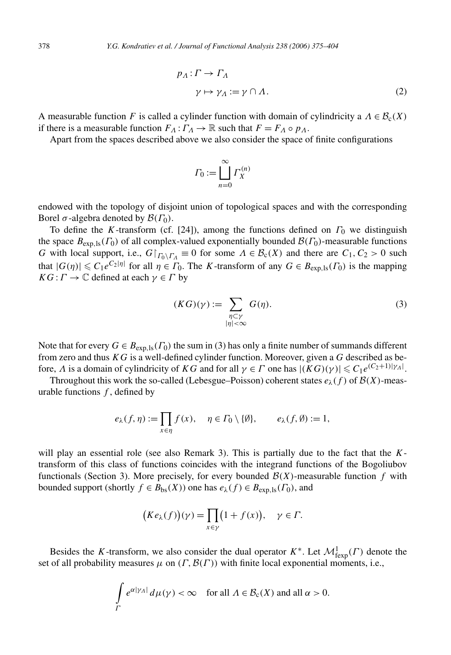$$
p_A: \Gamma \to \Gamma_A
$$
  
\n
$$
\gamma \mapsto \gamma_A := \gamma \cap A.
$$
 (2)

A measurable function *F* is called a cylinder function with domain of cylindricity a  $\Lambda \in \mathcal{B}_c(X)$ if there is a measurable function  $F_A: \Gamma_A \to \mathbb{R}$  such that  $F = F_A \circ p_A$ .

Apart from the spaces described above we also consider the space of finite configurations

$$
\varGamma_0 := \bigsqcup_{n=0}^{\infty} \varGamma_X^{(n)}
$$

endowed with the topology of disjoint union of topological spaces and with the corresponding Borel *σ*-algebra denoted by  $\mathcal{B}(\Gamma_0)$ .

To define the *K*-transform (cf. [24]), among the functions defined on *Γ*<sup>0</sup> we distinguish the space  $B_{\exp,1s}(\Gamma_0)$  of all complex-valued exponentially bounded  $\mathcal{B}(\Gamma_0)$ -measurable functions *G* with local support, i.e.,  $G|_{\Gamma_0\backslash\Gamma_\Lambda} \equiv 0$  for some  $\Lambda \in \mathcal{B}_c(X)$  and there are  $C_1, C_2 > 0$  such that  $|G(\eta)| \leq C_1 e^{C_2|\eta|}$  for all  $\eta \in \Gamma_0$ . The *K*-transform of any  $G \in B_{\exp,1s}(\Gamma_0)$  is the mapping *KG* :  $\Gamma \to \mathbb{C}$  defined at each  $\gamma \in \Gamma$  by

$$
(KG)(\gamma) := \sum_{\substack{\eta \subset \gamma \\ |\eta| < \infty}} G(\eta). \tag{3}
$$

Note that for every  $G \in B_{\exp, \text{ls}}(F_0)$  the sum in (3) has only a finite number of summands different from zero and thus *KG* is a well-defined cylinder function. Moreover, given a *G* described as before, *Λ* is a domain of cylindricity of *KG* and for all  $\gamma \in \Gamma$  one has  $|(KG)(\gamma)| \leq C_1 e^{(C_2+1)|\gamma_A|}$ .

Throughout this work the so-called (Lebesgue–Poisson) coherent states  $e_{\lambda}(f)$  of  $\mathcal{B}(X)$ -measurable functions *f* , defined by

$$
e_{\lambda}(f,\eta) := \prod_{x \in \eta} f(x), \quad \eta \in \Gamma_0 \setminus \{\emptyset\}, \qquad e_{\lambda}(f,\emptyset) := 1,
$$

will play an essential role (see also Remark 3). This is partially due to the fact that the *K*transform of this class of functions coincides with the integrand functions of the Bogoliubov functionals (Section 3). More precisely, for every bounded  $\mathcal{B}(X)$ -measurable function f with bounded support (shortly  $f \in B_{bs}(X)$ ) one has  $e_\lambda(f) \in B_{exp,1s}(\Gamma_0)$ , and

$$
(Ke_{\lambda}(f))(\gamma) = \prod_{x \in \gamma} (1 + f(x)), \quad \gamma \in \Gamma.
$$

Besides the *K*-transform, we also consider the dual operator  $K^*$ . Let  $\mathcal{M}_{\text{fexp}}^1(\Gamma)$  denote the set of all probability measures  $\mu$  on  $(\Gamma, \mathcal{B}(\Gamma))$  with finite local exponential moments, i.e.,

$$
\int\limits_{\Gamma} e^{\alpha|\gamma_A|} d\mu(\gamma) < \infty \quad \text{for all } A \in \mathcal{B}_c(X) \text{ and all } \alpha > 0.
$$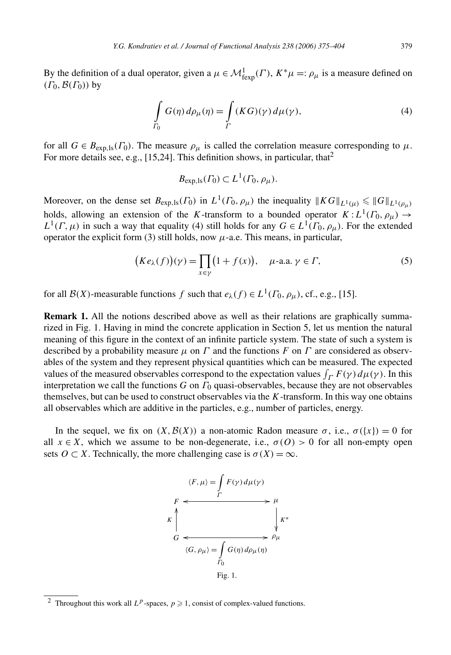By the definition of a dual operator, given a  $\mu \in \mathcal{M}^1_{\text{fexp}}(\Gamma)$ ,  $K^*\mu =: \rho_\mu$  is a measure defined on  $(\Gamma_0, \mathcal{B}(\Gamma_0))$  by

$$
\int_{\Gamma_0} G(\eta) d\rho_\mu(\eta) = \int_{\Gamma} (KG)(\gamma) d\mu(\gamma), \tag{4}
$$

for all  $G \in B_{\exp,\text{ls}}(F_0)$ . The measure  $\rho_\mu$  is called the correlation measure corresponding to  $\mu$ . For more details see, e.g., [15,24]. This definition shows, in particular, that<sup>2</sup>

$$
B_{\exp,\mathrm{ls}}(\Gamma_0) \subset L^1(\Gamma_0,\rho_\mu).
$$

Moreover, on the dense set  $B_{\exp,1s}(\Gamma_0)$  in  $L^1(\Gamma_0, \rho_\mu)$  the inequality  $||KG||_{L^1(\mu)} \le ||G||_{L^1(\rho_\mu)}$ holds, allowing an extension of the *K*-transform to a bounded operator  $K : L^1(\Gamma_0, \rho_\mu) \to$  $L^1(\Gamma,\mu)$  in such a way that equality (4) still holds for any  $G \in L^1(\Gamma_0, \rho_\mu)$ . For the extended operator the explicit form (3) still holds, now  $\mu$ -a.e. This means, in particular,

$$
(Ke_{\lambda}(f))(\gamma) = \prod_{x \in \gamma} (1 + f(x)), \quad \mu\text{-a.a. } \gamma \in \Gamma,
$$
 (5)

for all  $\mathcal{B}(X)$ -measurable functions *f* such that  $e_\lambda(f) \in L^1(\Gamma_0, \rho_\mu)$ , cf., e.g., [15].

**Remark 1.** All the notions described above as well as their relations are graphically summarized in Fig. 1. Having in mind the concrete application in Section 5, let us mention the natural meaning of this figure in the context of an infinite particle system. The state of such a system is described by a probability measure  $\mu$  on  $\Gamma$  and the functions  $F$  on  $\Gamma$  are considered as observables of the system and they represent physical quantities which can be measured. The expected values of the measured observables correspond to the expectation values  $\int_{\Gamma} F(\gamma) d\mu(\gamma)$ . In this interpretation we call the functions *G* on *Γ*<sup>0</sup> quasi-observables, because they are not observables themselves, but can be used to construct observables via the *K*-transform. In this way one obtains all observables which are additive in the particles, e.g., number of particles, energy.

In the sequel, we fix on  $(X, \mathcal{B}(X))$  a non-atomic Radon measure  $\sigma$ , i.e.,  $\sigma({x}) = 0$  for all  $x \in X$ , which we assume to be non-degenerate, i.e.,  $\sigma(O) > 0$  for all non-empty open sets  $O \subset X$ . Technically, the more challenging case is  $\sigma(X) = \infty$ .



<sup>&</sup>lt;sup>2</sup> Throughout this work all  $L^p$ -spaces,  $p \ge 1$ , consist of complex-valued functions.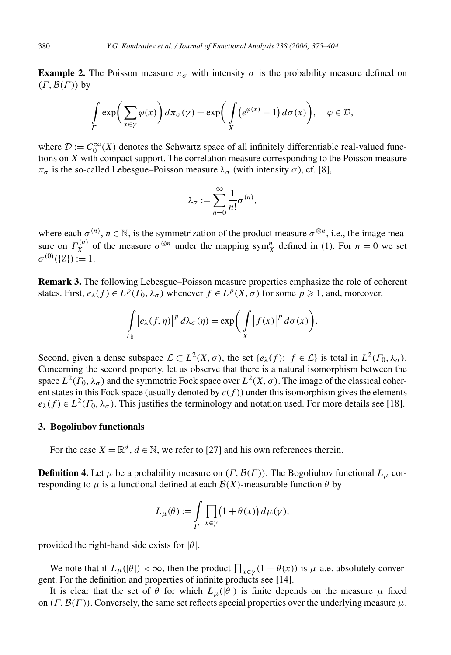**Example 2.** The Poisson measure  $\pi_{\sigma}$  with intensity  $\sigma$  is the probability measure defined on *(Γ,*B*(Γ ))* by

$$
\int_{\Gamma} \exp\biggl(\sum_{x \in \gamma} \varphi(x)\biggr) d\pi_{\sigma}(\gamma) = \exp\biggl(\int_{X} \bigl(e^{\varphi(x)} - 1\bigr) d\sigma(x)\biggr), \quad \varphi \in \mathcal{D},
$$

where  $\mathcal{D} := C_0^{\infty}(X)$  denotes the Schwartz space of all infinitely differentiable real-valued functions on *X* with compact support. The correlation measure corresponding to the Poisson measure *π*<sub>σ</sub> is the so-called Lebesgue–Poisson measure  $λ$ <sub>σ</sub> (with intensity  $σ$ ), cf. [8],

$$
\lambda_{\sigma} := \sum_{n=0}^{\infty} \frac{1}{n!} \sigma^{(n)},
$$

where each  $\sigma^{(n)}$ ,  $n \in \mathbb{N}$ , is the symmetrization of the product measure  $\sigma^{\otimes n}$ , i.e., the image measure on  $\Gamma_X^{(n)}$  of the measure  $\sigma^{\otimes n}$  under the mapping sym<sub>X</sub><sup>n</sup> defined in (1). For  $n = 0$  we set  $\sigma^{(0)}(\{\emptyset\}) := 1.$ 

**Remark 3.** The following Lebesgue–Poisson measure properties emphasize the role of coherent states. First,  $e_\lambda(f) \in L^p(\Gamma_0, \lambda_\sigma)$  whenever  $f \in L^p(X, \sigma)$  for some  $p \geq 1$ , and, moreover,

$$
\int_{\Gamma_0} \left| e_{\lambda}(f,\eta) \right|^p d\lambda_{\sigma}(\eta) = \exp\biggl( \int\limits_X \left| f(x) \right|^p d\sigma(x) \biggr).
$$

Second, given a dense subspace  $\mathcal{L} \subset L^2(X, \sigma)$ , the set  $\{e_\lambda(f): f \in \mathcal{L}\}\$ is total in  $L^2(\Gamma_0, \lambda_\sigma)$ . Concerning the second property, let us observe that there is a natural isomorphism between the space  $L^2(\Gamma_0, \lambda_\sigma)$  and the symmetric Fock space over  $L^2(X, \sigma)$ . The image of the classical coherent states in this Fock space (usually denoted by  $e(f)$ ) under this isomorphism gives the elements  $e_{\lambda}(f) \in L^{2}(F_0, \lambda_{\sigma})$ . This justifies the terminology and notation used. For more details see [18].

#### **3. Bogoliubov functionals**

For the case  $X = \mathbb{R}^d$ ,  $d \in \mathbb{N}$ , we refer to [27] and his own references therein.

**Definition 4.** Let  $\mu$  be a probability measure on *(Γ, B(Γ))*. The Bogoliubov functional  $L_{\mu}$  corresponding to  $\mu$  is a functional defined at each  $\mathcal{B}(X)$ -measurable function  $\theta$  by

$$
L_{\mu}(\theta) := \int\limits_{\Gamma} \prod_{x \in \gamma} (1 + \theta(x)) d\mu(\gamma),
$$

provided the right-hand side exists for |*θ*|.

We note that if  $L_{\mu}(|\theta|) < \infty$ , then the product  $\prod_{x \in \gamma} (1 + \theta(x))$  is  $\mu$ -a.e. absolutely convergent. For the definition and properties of infinite products see [14].

It is clear that the set of  $\theta$  for which  $L_{\mu}(|\theta|)$  is finite depends on the measure  $\mu$  fixed on  $(\Gamma, \mathcal{B}(\Gamma))$ . Conversely, the same set reflects special properties over the underlying measure  $\mu$ .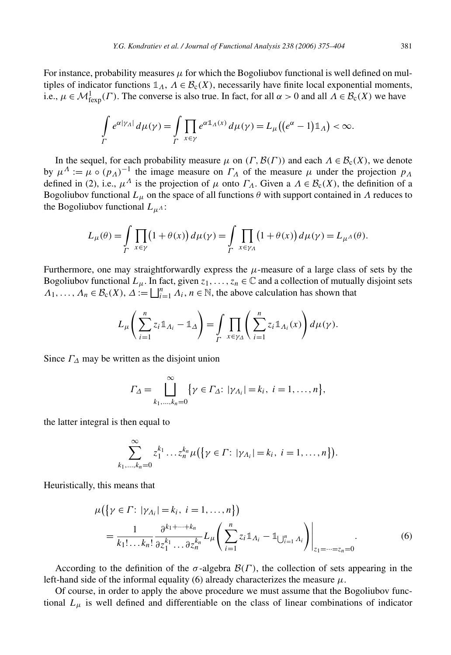For instance, probability measures  $\mu$  for which the Bogoliubov functional is well defined on multiples of indicator functions  $\mathbb{1}_A$ ,  $\Lambda \in \mathcal{B}_c(X)$ , necessarily have finite local exponential moments, i.e.,  $\mu \in \mathcal{M}_{\text{fexp}}^1(\Gamma)$ . The converse is also true. In fact, for all  $\alpha > 0$  and all  $\Lambda \in \mathcal{B}_c(X)$  we have

$$
\int_{\Gamma} e^{\alpha|\gamma_A|} d\mu(\gamma) = \int_{\Gamma} \prod_{x \in \gamma} e^{\alpha \mathbb{1}_A(x)} d\mu(\gamma) = L_{\mu} \big( (e^{\alpha} - 1) \mathbb{1}_A \big) < \infty.
$$

In the sequel, for each probability measure  $\mu$  on  $(\Gamma, \mathcal{B}(\Gamma))$  and each  $\Lambda \in \mathcal{B}_c(X)$ , we denote by  $\mu^A := \mu \circ (p_A)^{-1}$  the image measure on  $\Gamma_A$  of the measure  $\mu$  under the projection  $p_A$ defined in (2), i.e.,  $\mu^A$  is the projection of  $\mu$  onto  $\Gamma_A$ . Given a  $\Lambda \in \mathcal{B}_c(X)$ , the definition of a Bogoliubov functional  $L_{\mu}$  on the space of all functions  $\theta$  with support contained in  $\Lambda$  reduces to the Bogoliubov functional  $L_{\mu}$ <sup>1</sup>:

$$
L_{\mu}(\theta) = \int\limits_{\Gamma} \prod_{x \in \gamma} (1 + \theta(x)) d\mu(\gamma) = \int\limits_{\Gamma} \prod_{x \in \gamma_{A}} (1 + \theta(x)) d\mu(\gamma) = L_{\mu^{A}}(\theta).
$$

Furthermore, one may straightforwardly express the  $\mu$ -measure of a large class of sets by the Bogoliubov functional  $L_\mu$ . In fact, given  $z_1, \ldots, z_n \in \mathbb{C}$  and a collection of mutually disjoint sets  $\Lambda_1, \ldots, \Lambda_n \in \mathcal{B}_c(X), \Delta := \bigsqcup_{i=1}^n \Lambda_i, n \in \mathbb{N}$ , the above calculation has shown that

$$
L_{\mu}\left(\sum_{i=1}^nz_i\mathbb{1}_{A_i}-\mathbb{1}_{\Delta}\right)=\int\limits_{\Gamma}\prod_{x\in\gamma_{\Delta}}\left(\sum_{i=1}^nz_i\mathbb{1}_{A_i}(x)\right)d\mu(\gamma).
$$

Since  $\Gamma_{\Lambda}$  may be written as the disjoint union

$$
\Gamma_{\Delta} = \bigcup_{k_1,\dots,k_n=0}^{\infty} \{ \gamma \in \Gamma_{\Delta}: |\gamma_{A_i}| = k_i, i = 1,\dots,n \},\
$$

the latter integral is then equal to

$$
\sum_{k_1,\dots,k_n=0}^{\infty} z_1^{k_1}\dots z_n^{k_n} \mu(\{\gamma \in \Gamma: |\gamma_{\Lambda_i}| = k_i, i = 1,\dots,n\}).
$$

Heuristically, this means that

$$
\mu(\{\gamma \in \Gamma: |\gamma_{\Lambda_i}| = k_i, i = 1, ..., n\})
$$
\n
$$
= \frac{1}{k_1! \dots k_n!} \frac{\partial^{k_1 + \dots + k_n}}{\partial z_1^{k_1} \dots \partial z_n^{k_n}} L_{\mu} \left( \sum_{i=1}^n z_i \mathbb{1}_{A_i} - \mathbb{1}_{\bigcup_{i=1}^n A_i} \right) \Big|_{z_1 = \dots = z_n = 0} .
$$
\n(6)

According to the definition of the  $\sigma$ -algebra  $\mathcal{B}(\Gamma)$ , the collection of sets appearing in the left-hand side of the informal equality (6) already characterizes the measure  $\mu$ .

Of course, in order to apply the above procedure we must assume that the Bogoliubov functional  $L_{\mu}$  is well defined and differentiable on the class of linear combinations of indicator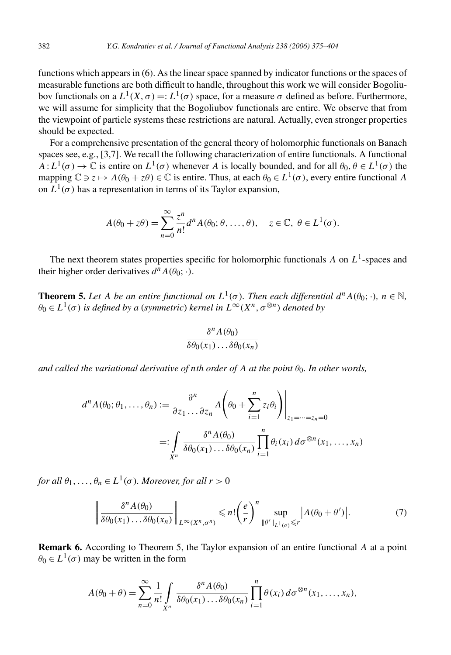functions which appears in (6). As the linear space spanned by indicator functions or the spaces of measurable functions are both difficult to handle, throughout this work we will consider Bogoliubov functionals on a *L*1*(X,σ)* =: *L*1*(σ)* space, for a measure *σ* defined as before. Furthermore, we will assume for simplicity that the Bogoliubov functionals are entire. We observe that from the viewpoint of particle systems these restrictions are natural. Actually, even stronger properties should be expected.

For a comprehensive presentation of the general theory of holomorphic functionals on Banach spaces see, e.g., [3,7]. We recall the following characterization of entire functionals. A functional  $A: L^1(\sigma) \to \mathbb{C}$  is entire on  $L^1(\sigma)$  whenever *A* is locally bounded, and for all  $\theta_0, \theta \in L^1(\sigma)$  the mapping  $\mathbb{C} \ni z \mapsto A(\theta_0 + z\theta) \in \mathbb{C}$  is entire. Thus, at each  $\theta_0 \in L^1(\sigma)$ , every entire functional A on  $L^1(\sigma)$  has a representation in terms of its Taylor expansion,

$$
A(\theta_0 + z\theta) = \sum_{n=0}^{\infty} \frac{z^n}{n!} d^n A(\theta_0; \theta, \dots, \theta), \quad z \in \mathbb{C}, \ \theta \in L^1(\sigma).
$$

The next theorem states properties specific for holomorphic functionals *A* on  $L^1$ -spaces and their higher order derivatives  $d^n A(\theta_0; \cdot)$ .

**Theorem 5.** Let *A be an entire functional on*  $L^1(\sigma)$ *. Then each differential*  $d^n A(\theta_0; \cdot)$ *,*  $n \in \mathbb{N}$ *,*  $\theta_0 \in L^1(\sigma)$  *is defined by a (symmetric) kernel in*  $L^\infty(X^n, \sigma^{\otimes n})$  *denoted by* 

$$
\frac{\delta^n A(\theta_0)}{\delta \theta_0(x_1) \dots \delta \theta_0(x_n)}
$$

*and called the variational derivative of <i>nth order of*  $A$  *at the point*  $\theta_0$ *. In other words,* 

$$
d^n A(\theta_0; \theta_1, \dots, \theta_n) := \frac{\partial^n}{\partial z_1 \dots \partial z_n} A\left(\theta_0 + \sum_{i=1}^n z_i \theta_i\right)\Big|_{z_1 = \dots = z_n = 0}
$$
  
=: 
$$
\int_{X^n} \frac{\delta^n A(\theta_0)}{\delta \theta_0(x_1) \dots \delta \theta_0(x_n)} \prod_{i=1}^n \theta_i(x_i) d\sigma^{\otimes n}(x_1, \dots, x_n)
$$

*for all*  $\theta_1, \ldots, \theta_n \in L^1(\sigma)$ *. Moreover, for all*  $r > 0$ 

$$
\left\|\frac{\delta^n A(\theta_0)}{\delta \theta_0(x_1)\dots\delta \theta_0(x_n)}\right\|_{L^\infty(X^n,\sigma^n)} \leqslant n! \left(\frac{e}{r}\right)^n \sup_{\|\theta'\|_{L^1(\sigma)} \leqslant r} |A(\theta_0 + \theta')|.
$$
 (7)

**Remark 6.** According to Theorem 5, the Taylor expansion of an entire functional *A* at a point  $\theta_0 \in L^1(\sigma)$  may be written in the form

$$
A(\theta_0+\theta)=\sum_{n=0}^{\infty}\frac{1}{n!}\int\limits_{X^n}\frac{\delta^n A(\theta_0)}{\delta\theta_0(x_1)\dots\delta\theta_0(x_n)}\prod_{i=1}^n\theta(x_i)\,d\sigma^{\otimes n}(x_1,\dots,x_n),
$$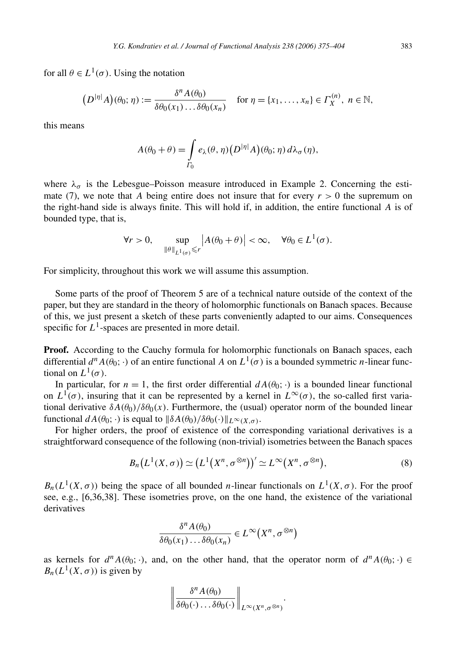for all  $\theta \in L^1(\sigma)$ . Using the notation

$$
(D^{|\eta|}A)(\theta_0;\eta) := \frac{\delta^n A(\theta_0)}{\delta\theta_0(x_1)\dots\delta\theta_0(x_n)} \quad \text{for } \eta = \{x_1,\dots,x_n\} \in \Gamma_X^{(n)}, \ n \in \mathbb{N},
$$

this means

$$
A(\theta_0 + \theta) = \int_{\Gamma_0} e_{\lambda}(\theta, \eta) (D^{|\eta|} A)(\theta_0; \eta) d\lambda_{\sigma}(\eta),
$$

where  $\lambda_{\sigma}$  is the Lebesgue–Poisson measure introduced in Example 2. Concerning the estimate (7), we note that *A* being entire does not insure that for every  $r > 0$  the supremum on the right-hand side is always finite. This will hold if, in addition, the entire functional *A* is of bounded type, that is,

$$
\forall r > 0, \quad \sup_{\|\theta\|_{L^1(\sigma)} \le r} |A(\theta_0 + \theta)| < \infty, \quad \forall \theta_0 \in L^1(\sigma).
$$

For simplicity, throughout this work we will assume this assumption.

Some parts of the proof of Theorem 5 are of a technical nature outside of the context of the paper, but they are standard in the theory of holomorphic functionals on Banach spaces. Because of this, we just present a sketch of these parts conveniently adapted to our aims. Consequences specific for  $L^1$ -spaces are presented in more detail.

**Proof.** According to the Cauchy formula for holomorphic functionals on Banach spaces, each differential  $d^n A(\theta_0; \cdot)$  of an entire functional A on  $L^1(\sigma)$  is a bounded symmetric *n*-linear functional on  $L^1(\sigma)$ .

In particular, for  $n = 1$ , the first order differential  $dA(\theta_0; \cdot)$  is a bounded linear functional on  $L^1(\sigma)$ , insuring that it can be represented by a kernel in  $L^{\infty}(\sigma)$ , the so-called first variational derivative  $\delta A(\theta_0)/\delta \theta_0(x)$ . Furthermore, the (usual) operator norm of the bounded linear functional  $dA(\theta_0; \cdot)$  is equal to  $\|\delta A(\theta_0)/\delta \theta_0(\cdot)\|_{L^\infty(X,\sigma)}$ .

For higher orders, the proof of existence of the corresponding variational derivatives is a straightforward consequence of the following (non-trivial) isometries between the Banach spaces

$$
B_n(L^1(X,\sigma)) \simeq (L^1(X^n,\sigma^{\otimes n}))' \simeq L^{\infty}(X^n,\sigma^{\otimes n}),
$$
\n(8)

 $B_n(L^1(X, \sigma))$  being the space of all bounded *n*-linear functionals on  $L^1(X, \sigma)$ . For the proof see, e.g., [6,36,38]. These isometries prove, on the one hand, the existence of the variational derivatives

$$
\frac{\delta^n A(\theta_0)}{\delta \theta_0(x_1) \dots \delta \theta_0(x_n)} \in L^\infty(X^n, \sigma^{\otimes n})
$$

as kernels for  $d^n A(\theta_0; \cdot)$ , and, on the other hand, that the operator norm of  $d^n A(\theta_0; \cdot) \in$  $B_n(L^1(X,\sigma))$  is given by

$$
\left\|\frac{\delta^n A(\theta_0)}{\delta \theta_0(\cdot) \dots \delta \theta_0(\cdot)}\right\|_{L^\infty(X^n, \sigma^{\otimes n})}.
$$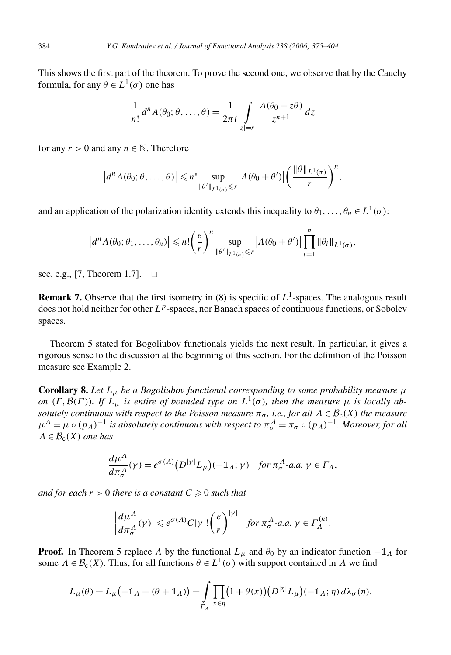This shows the first part of the theorem. To prove the second one, we observe that by the Cauchy formula, for any  $\theta \in L^1(\sigma)$  one has

$$
\frac{1}{n!}d^{n}A(\theta_{0};\theta,\ldots,\theta) = \frac{1}{2\pi i}\int\limits_{|z|=r} \frac{A(\theta_{0}+z\theta)}{z^{n+1}} dz
$$

for any  $r > 0$  and any  $n \in \mathbb{N}$ . Therefore

$$
|d^n A(\theta_0; \theta, \dots, \theta)| \leq n! \sup_{\|\theta'\|_{L^1(\sigma)} \leq r} |A(\theta_0 + \theta')| \left(\frac{\|\theta\|_{L^1(\sigma)}}{r}\right)^n,
$$

and an application of the polarization identity extends this inequality to  $\theta_1, \ldots, \theta_n \in L^1(\sigma)$ :

$$
|d^n A(\theta_0; \theta_1, \ldots, \theta_n)| \leq n! \left(\frac{e}{r}\right)^n \sup_{\|\theta'\|_{L^1(\sigma)} \leq r} |A(\theta_0 + \theta')| \prod_{i=1}^n \|\theta_i\|_{L^1(\sigma)},
$$

see, e.g., [7, Theorem 1.7].  $\square$ 

**Remark 7.** Observe that the first isometry in  $(8)$  is specific of  $L^1$ -spaces. The analogous result does not hold neither for other *Lp*-spaces, nor Banach spaces of continuous functions, or Sobolev spaces.

Theorem 5 stated for Bogoliubov functionals yields the next result. In particular, it gives a rigorous sense to the discussion at the beginning of this section. For the definition of the Poisson measure see Example 2.

**Corollary 8.** Let  $L_{\mu}$  be a Bogoliubov functional corresponding to some probability measure  $\mu$ *on* (*Γ,B*(*Γ*))*. If*  $L_{\mu}$  *is entire of bounded type on*  $L^1(\sigma)$ *, then the measure*  $\mu$  *is locally absolutely continuous with respect to the Poisson measure*  $\pi_{\sigma}$ , *i.e., for all*  $\Lambda \in \mathcal{B}_c(X)$  *the measure*  $\mu^{A} = \mu \circ (p_{A})^{-1}$  *is absolutely continuous with respect to*  $\pi_{\sigma}^{A} = \pi_{\sigma} \circ (p_{A})^{-1}$ *. Moreover, for all*  $\Lambda \in \mathcal{B}_c(X)$  *one has* 

$$
\frac{d\mu^{\Lambda}}{d\pi^{\Lambda}_{\sigma}}(\gamma) = e^{\sigma(\Lambda)}\big(D^{|\gamma|}L_{\mu}\big)(-\mathbb{1}_{\Lambda};\gamma) \quad \text{for } \pi^{\Lambda}_{\sigma}\text{-a.a. } \gamma \in \Gamma_{\Lambda},
$$

*and for each*  $r > 0$  *there is a constant*  $C \geq 0$  *such that* 

$$
\left|\frac{d\mu^{\Lambda}}{d\pi^{\Lambda}_{\sigma}}(\gamma)\right| \leq e^{\sigma(\Lambda)}C|\gamma|!\left(\frac{e}{r}\right)^{|\gamma|} \quad \text{for } \pi^{\Lambda}_{\sigma}\text{-a.a. } \gamma \in \Gamma_{\Lambda}^{(n)}.
$$

**Proof.** In Theorem 5 replace *A* by the functional  $L_{\mu}$  and  $\theta_0$  by an indicator function  $-\mathbb{1}_A$  for some  $\Lambda \in \mathcal{B}_c(X)$ . Thus, for all functions  $\theta \in L^1(\sigma)$  with support contained in  $\Lambda$  we find

$$
L_{\mu}(\theta) = L_{\mu}(-1\mathbb{1}_{A} + (\theta + 1\mathbb{1}_{A})) = \int_{\Gamma_{A}} \prod_{x \in \eta} (1 + \theta(x)) (D^{|\eta|} L_{\mu}) (-1\mathbb{1}_{A}; \eta) d\lambda_{\sigma}(\eta).
$$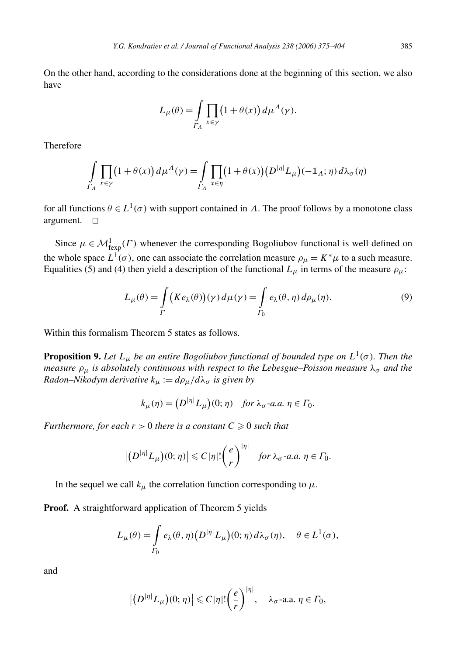On the other hand, according to the considerations done at the beginning of this section, we also have

$$
L_{\mu}(\theta) = \int\limits_{\Gamma_A} \prod_{x \in \gamma} (1 + \theta(x)) d\mu^{\Lambda}(\gamma).
$$

Therefore

$$
\int_{\Gamma_{\Lambda}} \prod_{x \in \gamma} (1 + \theta(x)) d\mu^{\Lambda}(\gamma) = \int_{\Gamma_{\Lambda}} \prod_{x \in \eta} (1 + \theta(x)) (D^{|\eta|} L_{\mu}) (-1), \eta) d\lambda_{\sigma}(\eta)
$$

for all functions  $\theta \in L^1(\sigma)$  with support contained in *Λ*. The proof follows by a monotone class argument.  $\square$ 

Since  $\mu \in \mathcal{M}_{\text{fexp}}^1(\Gamma)$  whenever the corresponding Bogoliubov functional is well defined on the whole space  $L^1(\sigma)$ , one can associate the correlation measure  $\rho_\mu = K^* \mu$  to a such measure. Equalities (5) and (4) then yield a description of the functional  $L_{\mu}$  in terms of the measure  $\rho_{\mu}$ :

$$
L_{\mu}(\theta) = \int_{\Gamma} \left( K e_{\lambda}(\theta) \right) (\gamma) d\mu(\gamma) = \int_{\Gamma_0} e_{\lambda}(\theta, \eta) d\rho_{\mu}(\eta). \tag{9}
$$

Within this formalism Theorem 5 states as follows.

**Proposition 9.** Let  $L_{\mu}$  be an entire Bogoliubov functional of bounded type on  $L^1(\sigma)$ . Then the *measure ρμ is absolutely continuous with respect to the Lebesgue–Poisson measure λσ and the Radon–Nikodym derivative*  $k_{\mu} := d\rho_{\mu}/d\lambda_{\sigma}$  *is given by* 

$$
k_{\mu}(\eta) = (D^{|\eta|} L_{\mu})(0; \eta) \quad \text{for } \lambda_{\sigma} \text{-a.a. } \eta \in \Gamma_0.
$$

*Furthermore, for each*  $r > 0$  *there is a constant*  $C \geq 0$  *such that* 

$$
\left|\left(D^{|\eta|}L_{\mu}\right)(0;\eta)\right|\leq C|\eta|!\left(\frac{e}{r}\right)^{|\eta|}\quad \text{for }\lambda_{\sigma}\text{-}a.a.\ \eta\in\Gamma_{0}.
$$

In the sequel we call  $k_{\mu}$  the correlation function corresponding to  $\mu$ .

**Proof.** A straightforward application of Theorem 5 yields

$$
L_{\mu}(\theta) = \int_{\Gamma_0} e_{\lambda}(\theta, \eta) \big( D^{|\eta|} L_{\mu} \big)(0; \eta) d\lambda_{\sigma}(\eta), \quad \theta \in L^1(\sigma),
$$

and

$$
\left|\left(D^{|\eta|}L_{\mu}\right)(0;\,\eta)\right|\leqslant C|\eta|!\left(\frac{e}{r}\right)^{|\eta|},\quad\lambda_{\sigma}\text{-a.a. }\eta\in\varGamma_0,
$$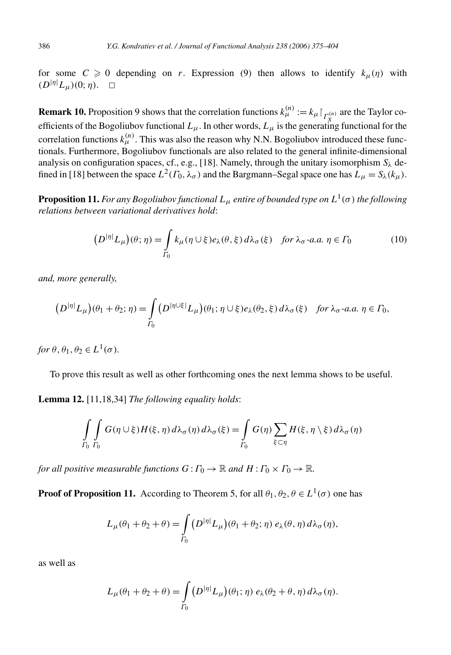for some  $C \ge 0$  depending on *r*. Expression (9) then allows to identify  $k_{\mu}(\eta)$  with  $(D<sup>|\eta|</sup>L<sub>μ</sub>)(0;η)$ . □

**Remark 10.** Proposition 9 shows that the correlation functions  $k_{\mu}^{(n)} := k_{\mu} \big|_{\Gamma_X^{(n)}}$  are the Taylor coefficients of the Bogoliubov functional  $L_\mu$ . In other words,  $L_\mu$  is the generating functional for the correlation functions  $k_{\mu}^{(n)}$ . This was also the reason why N.N. Bogoliubov introduced these functionals. Furthermore, Bogoliubov functionals are also related to the general infinite-dimensional analysis on configuration spaces, cf., e.g., [18]. Namely, through the unitary isomorphism  $S_\lambda$  defined in [18] between the space  $L^2(\Gamma_0, \lambda_\sigma)$  and the Bargmann–Segal space one has  $L_\mu = S_\lambda(k_\mu)$ .

**Proposition 11.** *For any Bogoliubov functional*  $L_{\mu}$  *entire of bounded type on*  $L^1(\sigma)$  *the following relations between variational derivatives hold*:

$$
(D^{|\eta|}L_{\mu})(\theta;\eta) = \int_{\Gamma_0} k_{\mu}(\eta \cup \xi) e_{\lambda}(\theta,\xi) d\lambda_{\sigma}(\xi) \quad \text{for } \lambda_{\sigma}\text{-a.a. } \eta \in \Gamma_0 \tag{10}
$$

*and, more generally,*

$$
(D^{|\eta|}L_{\mu})(\theta_1+\theta_2;\eta)=\int_{\Gamma_0} (D^{|\eta\cup\xi|}L_{\mu})(\theta_1;\eta\cup\xi)e_{\lambda}(\theta_2,\xi)d\lambda_{\sigma}(\xi) \text{ for } \lambda_{\sigma}\text{-a.a. } \eta \in \Gamma_0,
$$

*for*  $\theta$ ,  $\theta$ <sub>1</sub>,  $\theta$ <sub>2</sub>  $\in L^1(\sigma)$ *.* 

To prove this result as well as other forthcoming ones the next lemma shows to be useful.

**Lemma 12.** [11,18,34] *The following equality holds*:

$$
\int_{\Gamma_0} \int_{\Gamma_0} G(\eta \cup \xi) H(\xi, \eta) d\lambda_{\sigma}(\eta) d\lambda_{\sigma}(\xi) = \int_{\Gamma_0} G(\eta) \sum_{\xi \subset \eta} H(\xi, \eta \setminus \xi) d\lambda_{\sigma}(\eta)
$$

*for all positive measurable functions*  $G: \Gamma_0 \to \mathbb{R}$  *and*  $H: \Gamma_0 \times \Gamma_0 \to \mathbb{R}$ *.* 

**Proof of Proposition 11.** According to Theorem 5, for all  $\theta_1, \theta_2, \theta \in L^1(\sigma)$  one has

$$
L_{\mu}(\theta_1 + \theta_2 + \theta) = \int_{\Gamma_0} \left( D^{|\eta|} L_{\mu} \right) (\theta_1 + \theta_2; \eta) \, e_{\lambda}(\theta, \eta) \, d\lambda_{\sigma}(\eta),
$$

as well as

$$
L_{\mu}(\theta_1 + \theta_2 + \theta) = \int_{\Gamma_0} \left( D^{|\eta|} L_{\mu} \right) (\theta_1; \eta) \, e_{\lambda}(\theta_2 + \theta, \eta) \, d\lambda_{\sigma}(\eta).
$$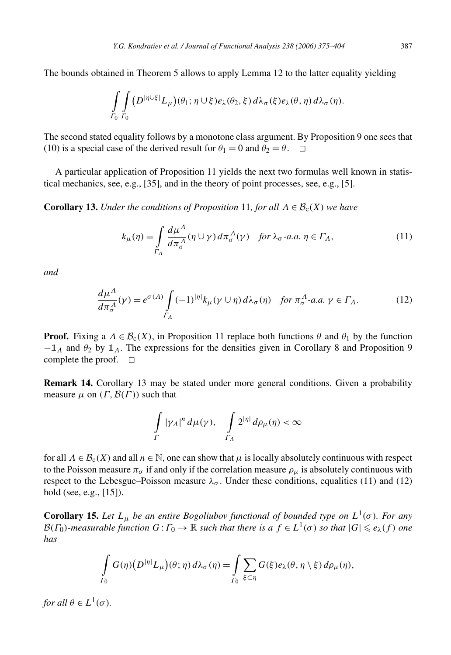The bounds obtained in Theorem 5 allows to apply Lemma 12 to the latter equality yielding

$$
\int_{\Gamma_0}\int_{\Gamma_0} (D^{|\eta\cup\xi|}L_\mu)(\theta_1;\eta\cup\xi)e_\lambda(\theta_2,\xi)\,d\lambda_\sigma(\xi)e_\lambda(\theta,\eta)\,d\lambda_\sigma(\eta).
$$

The second stated equality follows by a monotone class argument. By Proposition 9 one sees that (10) is a special case of the derived result for  $\theta_1 = 0$  and  $\theta_2 = \theta$ .  $\Box$ 

A particular application of Proposition 11 yields the next two formulas well known in statistical mechanics, see, e.g., [35], and in the theory of point processes, see, e.g., [5].

**Corollary 13.** *Under the conditions of Proposition* 11*, for all*  $\Lambda \in \mathcal{B}_c(X)$  *we have* 

$$
k_{\mu}(\eta) = \int_{\Gamma_A} \frac{d\mu^{\Lambda}}{d\pi_{\sigma}^{\Lambda}} (\eta \cup \gamma) d\pi_{\sigma}^{\Lambda}(\gamma) \quad \text{for } \lambda_{\sigma} \text{-a.a. } \eta \in \Gamma_A,
$$
 (11)

*and*

$$
\frac{d\mu^{\Lambda}}{d\pi^{\Lambda}_{\sigma}}(\gamma) = e^{\sigma(\Lambda)} \int_{\Gamma_{\Lambda}} (-1)^{|\eta|} k_{\mu}(\gamma \cup \eta) d\lambda_{\sigma}(\eta) \quad \text{for } \pi^{\Lambda}_{\sigma}\text{-a.a. } \gamma \in \Gamma_{\Lambda}.\tag{12}
$$

**Proof.** Fixing a  $\Lambda \in \mathcal{B}_c(X)$ , in Proposition 11 replace both functions  $\theta$  and  $\theta_1$  by the function −**1***<sup>Λ</sup>* and *θ*<sup>2</sup> by **1***Λ*. The expressions for the densities given in Corollary 8 and Proposition 9 complete the proof.  $\square$ 

**Remark 14.** Corollary 13 may be stated under more general conditions. Given a probability measure  $\mu$  on  $(\Gamma, \mathcal{B}(\Gamma))$  such that

$$
\int\limits_{\Gamma}|\gamma_\varLambda|^n\,d\mu(\gamma),\quad \int\limits_{\Gamma_\varLambda}2^{|\eta|}\,d\rho_\mu(\eta)<\infty
$$

for all  $\Lambda \in \mathcal{B}_c(X)$  and all  $n \in \mathbb{N}$ , one can show that  $\mu$  is locally absolutely continuous with respect to the Poisson measure  $\pi_{\sigma}$  if and only if the correlation measure  $\rho_{\mu}$  is absolutely continuous with respect to the Lebesgue–Poisson measure  $\lambda_{\sigma}$ . Under these conditions, equalities (11) and (12) hold (see, e.g., [15]).

**Corollary 15.** *Let*  $L_{\mu}$  *be an entire Bogoliubov functional of bounded type on*  $L^1(\sigma)$ *. For any*  $B(F_0)$ *-measurable function*  $G: \Gamma_0 \to \mathbb{R}$  *such that there is a*  $f \in L^1(\sigma)$  *so that*  $|G| \leq e_\lambda(f)$  *one has*

$$
\int_{\Gamma_0} G(\eta) (D^{|\eta|} L_{\mu}) (\theta; \eta) d\lambda_{\sigma}(\eta) = \int_{\Gamma_0} \sum_{\xi \subset \eta} G(\xi) e_{\lambda}(\theta, \eta \setminus \xi) d\rho_{\mu}(\eta),
$$

*for all*  $\theta \in L^1(\sigma)$ *.*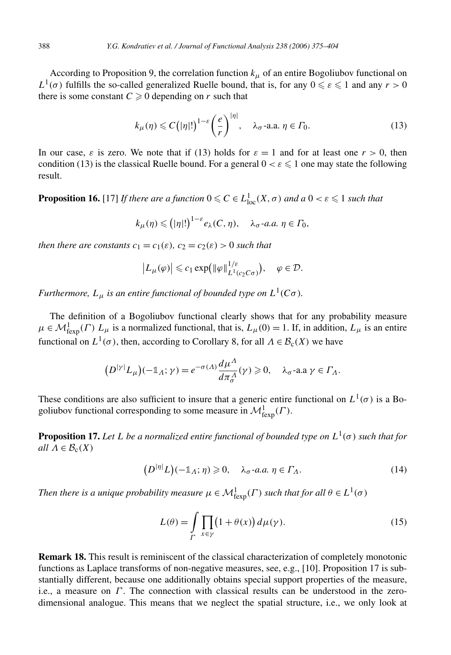According to Proposition 9, the correlation function  $k<sub>\mu</sub>$  of an entire Bogoliubov functional on *L*<sup>1</sup>( $\sigma$ ) fulfills the so-called generalized Ruelle bound, that is, for any  $0 \le \varepsilon \le 1$  and any  $r > 0$ there is some constant  $C \geq 0$  depending on *r* such that

$$
k_{\mu}(\eta) \leqslant C\big(|\eta|!\big)^{1-\varepsilon} \bigg(\frac{e}{r}\bigg)^{|\eta|}, \quad \lambda_{\sigma}\text{-a.a. } \eta \in \Gamma_0. \tag{13}
$$

In our case,  $\varepsilon$  is zero. We note that if (13) holds for  $\varepsilon = 1$  and for at least one  $r > 0$ , then condition (13) is the classical Ruelle bound. For a general  $0 < \varepsilon \leq 1$  one may state the following result.

**Proposition 16.** [17] *If there are a function*  $0 \leq C \in L^1_{loc}(X, \sigma)$  *and a*  $0 < \varepsilon \leq 1$  *such that* 

$$
k_{\mu}(\eta) \leq (|\eta|!)^{1-\varepsilon} e_{\lambda}(C, \eta), \quad \lambda_{\sigma} \text{-a.a. } \eta \in \Gamma_0,
$$

*then there are constants*  $c_1 = c_1(\varepsilon)$ *,*  $c_2 = c_2(\varepsilon) > 0$  *such that* 

$$
\left|L_{\mu}(\varphi)\right| \leqslant c_1 \exp\left(\|\varphi\|_{L^1(c_2C\sigma)}^{1/\varepsilon}\right), \quad \varphi \in \mathcal{D}.
$$

*Furthermore,*  $L_{\mu}$  *is an entire functional of bounded type on*  $L^1(C\sigma)$ *.* 

The definition of a Bogoliubov functional clearly shows that for any probability measure  $\mu \in \mathcal{M}_{\text{fexp}}^1(\Gamma)$   $L_\mu$  is a normalized functional, that is,  $L_\mu(0) = 1$ . If, in addition,  $L_\mu$  is an entire functional on  $L^1(\sigma)$ , then, according to Corollary 8, for all  $\Lambda \in \mathcal{B}_c(X)$  we have

$$
(D^{|\gamma|}L_{\mu})(-\mathbb{1}_{\Lambda};\gamma)=e^{-\sigma(\Lambda)}\frac{d\mu^{\Lambda}}{d\pi^{\Lambda}_{\sigma}}(\gamma)\geq 0, \quad \lambda_{\sigma}\text{-a.a }\gamma\in\Gamma_{\Lambda}.
$$

These conditions are also sufficient to insure that a generic entire functional on  $L^1(\sigma)$  is a Bogoliubov functional corresponding to some measure in  $\mathcal{M}^1_{\text{fexp}}(\Gamma)$ .

**Proposition 17.** Let L be a normalized entire functional of bounded type on  $L^1(\sigma)$  such that for *all*  $\Lambda \in \mathcal{B}_c(X)$ 

$$
(D^{|\eta|}L)(-\mathbb{1}_A;\eta) \geq 0, \quad \lambda_{\sigma}\text{-}a.a. \eta \in \Gamma_A. \tag{14}
$$

*Then there is a unique probability measure*  $\mu \in \mathcal{M}_{\text{fexp}}^1(\Gamma)$  *such that for all*  $\theta \in L^1(\sigma)$ 

$$
L(\theta) = \int\limits_{\Gamma} \prod_{x \in \gamma} \left(1 + \theta(x)\right) d\mu(\gamma).
$$
 (15)

**Remark 18.** This result is reminiscent of the classical characterization of completely monotonic functions as Laplace transforms of non-negative measures, see, e.g., [10]. Proposition 17 is substantially different, because one additionally obtains special support properties of the measure, i.e., a measure on *Γ* . The connection with classical results can be understood in the zerodimensional analogue. This means that we neglect the spatial structure, i.e., we only look at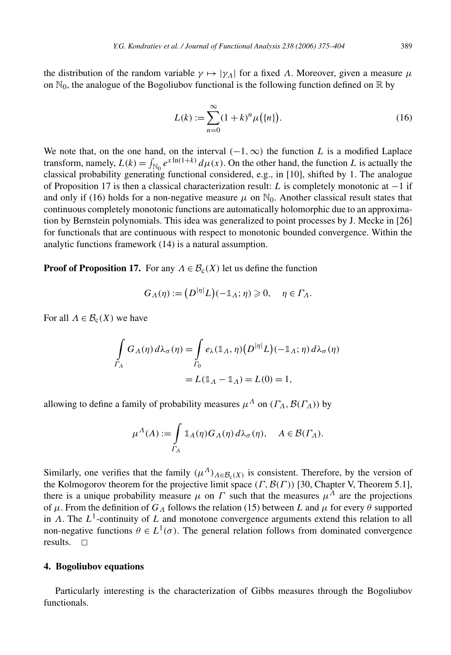the distribution of the random variable  $\gamma \mapsto |\gamma_A|$  for a fixed  $\Lambda$ . Moreover, given a measure  $\mu$ on  $\mathbb{N}_0$ , the analogue of the Bogoliubov functional is the following function defined on  $\mathbb R$  by

$$
L(k) := \sum_{n=0}^{\infty} (1+k)^n \mu(\{n\}).
$$
 (16)

We note that, on the one hand, on the interval  $(-1, \infty)$  the function *L* is a modified Laplace transform, namely,  $L(k) = \int_{\mathbb{N}_0} e^{x \ln(1+k)} d\mu(x)$ . On the other hand, the function *L* is actually the classical probability generating functional considered, e.g., in [10], shifted by 1. The analogue of Proposition 17 is then a classical characterization result: *L* is completely monotonic at −1 if and only if (16) holds for a non-negative measure  $\mu$  on  $\mathbb{N}_0$ . Another classical result states that continuous completely monotonic functions are automatically holomorphic due to an approximation by Bernstein polynomials. This idea was generalized to point processes by J. Mecke in [26] for functionals that are continuous with respect to monotonic bounded convergence. Within the analytic functions framework (14) is a natural assumption.

**Proof of Proposition 17.** For any  $\Lambda \in \mathcal{B}_c(X)$  let us define the function

$$
G_{\Lambda}(\eta) := (D^{|\eta|} L)(-\mathbb{1}_{\Lambda}; \eta) \geq 0, \quad \eta \in \Gamma_{\Lambda}.
$$

For all  $\Lambda \in \mathcal{B}_c(X)$  we have

$$
\int_{\Gamma_{\Lambda}} G_{\Lambda}(\eta) d\lambda_{\sigma}(\eta) = \int_{\Gamma_{0}} e_{\lambda}(\mathbb{1}_{\Lambda}, \eta) (D^{|\eta|} L)(-\mathbb{1}_{\Lambda}; \eta) d\lambda_{\sigma}(\eta)
$$

$$
= L(\mathbb{1}_{\Lambda} - \mathbb{1}_{\Lambda}) = L(0) = 1,
$$

allowing to define a family of probability measures  $\mu^A$  on  $(\Gamma_A, \mathcal{B}(\Gamma_A))$  by

$$
\mu^{A}(A) := \int\limits_{\Gamma_A} \mathbb{1}_A(\eta) G_A(\eta) d\lambda_{\sigma}(\eta), \quad A \in \mathcal{B}(\Gamma_A).
$$

Similarly, one verifies that the family  $(\mu^A)_{A \in \mathcal{B}_c(X)}$  is consistent. Therefore, by the version of the Kolmogorov theorem for the projective limit space *(Γ,*B*(Γ ))* [30, Chapter V, Theorem 5.1], there is a unique probability measure  $\mu$  on  $\Gamma$  such that the measures  $\mu^A$  are the projections of *μ*. From the definition of *GΛ* follows the relation (15) between *L* and *μ* for every *θ* supported in *Λ*. The *L*1-continuity of *L* and monotone convergence arguments extend this relation to all non-negative functions  $\theta \in L^1(\sigma)$ . The general relation follows from dominated convergence results.  $\square$ 

#### **4. Bogoliubov equations**

Particularly interesting is the characterization of Gibbs measures through the Bogoliubov functionals.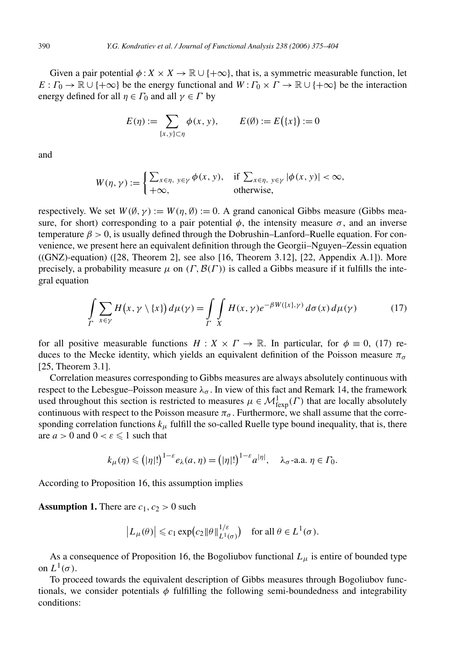Given a pair potential  $\phi$  :  $X \times X \to \mathbb{R} \cup \{+\infty\}$ , that is, a symmetric measurable function, let  $E: \Gamma_0 \to \mathbb{R} \cup \{+\infty\}$  be the energy functional and  $W: \Gamma_0 \times \Gamma \to \mathbb{R} \cup \{+\infty\}$  be the interaction energy defined for all  $\eta \in \Gamma_0$  and all  $\gamma \in \Gamma$  by

$$
E(\eta) := \sum_{\{x,y\} \subset \eta} \phi(x, y), \qquad E(\emptyset) := E(\{x\}) := 0
$$

and

$$
W(\eta, \gamma) := \begin{cases} \sum_{x \in \eta, y \in \gamma} \phi(x, y), & \text{if } \sum_{x \in \eta, y \in \gamma} |\phi(x, y)| < \infty, \\ +\infty, & \text{otherwise,} \end{cases}
$$

respectively. We set  $W(\emptyset, \gamma) := W(\eta, \emptyset) := 0$ . A grand canonical Gibbs measure (Gibbs measure, for short) corresponding to a pair potential  $\phi$ , the intensity measure  $\sigma$ , and an inverse temperature  $\beta > 0$ , is usually defined through the Dobrushin–Lanford–Ruelle equation. For convenience, we present here an equivalent definition through the Georgii–Nguyen–Zessin equation  $((GNZ)$ -equation)  $([28, Theorem 2]$ , see also [16, Theorem 3.12], [22, Appendix A.1]). More precisely, a probability measure  $\mu$  on  $(\Gamma, \mathcal{B}(\Gamma))$  is called a Gibbs measure if it fulfills the integral equation

$$
\int_{\Gamma} \sum_{x \in \gamma} H(x, \gamma \setminus \{x\}) d\mu(\gamma) = \int_{\Gamma} \int_{X} H(x, \gamma) e^{-\beta W(\{x\}, \gamma)} d\sigma(x) d\mu(\gamma) \tag{17}
$$

for all positive measurable functions  $H: X \times \Gamma \to \mathbb{R}$ . In particular, for  $\phi \equiv 0$ , (17) reduces to the Mecke identity, which yields an equivalent definition of the Poisson measure  $\pi_{\sigma}$ [25, Theorem 3.1].

Correlation measures corresponding to Gibbs measures are always absolutely continuous with respect to the Lebesgue–Poisson measure  $\lambda_{\sigma}$ . In view of this fact and Remark 14, the framework used throughout this section is restricted to measures  $\mu \in \mathcal{M}^1_{\text{fexp}}(\Gamma)$  that are locally absolutely continuous with respect to the Poisson measure  $\pi_{\sigma}$ . Furthermore, we shall assume that the corresponding correlation functions  $k_{\mu}$  fulfill the so-called Ruelle type bound inequality, that is, there are  $a > 0$  and  $0 < \varepsilon \leq 1$  such that

$$
k_{\mu}(\eta) \leq (|\eta|!)^{1-\varepsilon} e_{\lambda}(a,\eta) = (|\eta|!)^{1-\varepsilon} a^{|\eta|}, \quad \lambda_{\sigma} \text{-a.a. } \eta \in \Gamma_0.
$$

According to Proposition 16, this assumption implies

**Assumption 1.** There are  $c_1$ ,  $c_2 > 0$  such

$$
\left| L_{\mu}(\theta) \right| \leqslant c_1 \exp \left( c_2 \|\theta\|_{L^1(\sigma)}^{1/\varepsilon} \right) \quad \text{for all } \theta \in L^1(\sigma).
$$

As a consequence of Proposition 16, the Bogoliubov functional  $L_{\mu}$  is entire of bounded type on  $L^1(\sigma)$ .

To proceed towards the equivalent description of Gibbs measures through Bogoliubov functionals, we consider potentials *φ* fulfilling the following semi-boundedness and integrability conditions: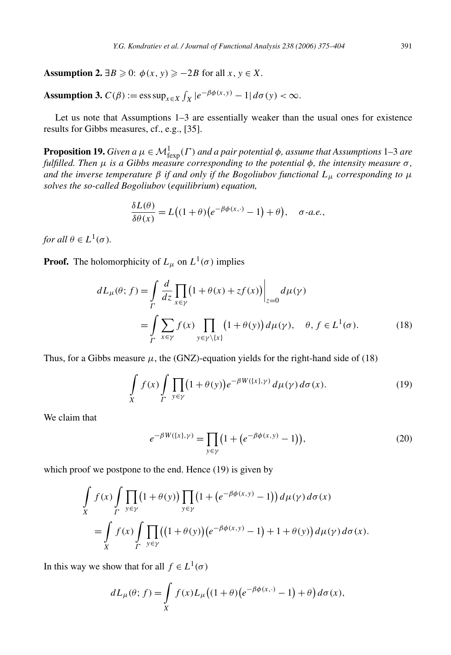**Assumption 2.**  $\exists B \geq 0$ :  $\phi(x, y) \geq -2B$  for all  $x, y \in X$ .

**Assumption 3.**  $C(\beta) := \text{ess sup}_{x \in X} \int_X |e^{-\beta \phi(x, y)} - 1| d\sigma(y) < \infty.$ 

Let us note that Assumptions 1–3 are essentially weaker than the usual ones for existence results for Gibbs measures, cf., e.g., [35].

**Proposition 19.** *Given a*  $\mu \in M^1_{\text{fexp}}(\Gamma)$  *and a pair potential*  $\phi$ *, assume that Assumptions* 1–3 *are fulfilled. Then μ is a Gibbs measure corresponding to the potential φ, the intensity measure σ , and the inverse temperature*  $\beta$  *if and only if the Bogoliubov functional*  $L_{\mu}$  *corresponding to*  $\mu$ *solves the so-called Bogoliubov* (*equilibrium*) *equation,*

$$
\frac{\delta L(\theta)}{\delta \theta(x)} = L\big((1+\theta)\big(e^{-\beta \phi(x,\cdot)}-1\big)+\theta\big), \quad \sigma\text{-}a.e.,
$$

*for all*  $\theta \in L^1(\sigma)$ *.* 

**Proof.** The holomorphicity of  $L_{\mu}$  on  $L^1(\sigma)$  implies

$$
dL_{\mu}(\theta; f) = \int_{\Gamma} \frac{d}{dz} \prod_{x \in \gamma} (1 + \theta(x) + zf(x)) \Big|_{z=0} d\mu(\gamma)
$$
  
= 
$$
\int_{\Gamma} \sum_{x \in \gamma} f(x) \prod_{y \in \gamma \setminus \{x\}} (1 + \theta(y)) d\mu(\gamma), \quad \theta, f \in L^{1}(\sigma).
$$
 (18)

Thus, for a Gibbs measure  $\mu$ , the (GNZ)-equation yields for the right-hand side of (18)

$$
\int\limits_X f(x) \int\limits_{\Gamma} \prod_{y \in \gamma} (1 + \theta(y)) e^{-\beta W(\{x\}, \gamma)} d\mu(\gamma) d\sigma(x). \tag{19}
$$

We claim that

$$
e^{-\beta W(\{x\},\gamma)} = \prod_{y \in \gamma} \left(1 + \left(e^{-\beta \phi(x,y)} - 1\right)\right),\tag{20}
$$

which proof we postpone to the end. Hence (19) is given by

$$
\int\limits_X f(x) \int\limits_{\Gamma} \prod\limits_{y \in \gamma} (1 + \theta(y)) \prod\limits_{y \in \gamma} (1 + (e^{-\beta \phi(x,y)} - 1)) d\mu(\gamma) d\sigma(x)
$$
\n
$$
= \int\limits_X f(x) \int\limits_{\Gamma} \prod\limits_{y \in \gamma} ((1 + \theta(y)) (e^{-\beta \phi(x,y)} - 1) + 1 + \theta(y)) d\mu(\gamma) d\sigma(x).
$$

In this way we show that for all  $f \in L^1(\sigma)$ 

$$
dL_{\mu}(\theta; f) = \int\limits_X f(x) L_{\mu} \big( (1+\theta) \big( e^{-\beta \phi(x, \cdot)} - 1 \big) + \theta \big) d\sigma(x),
$$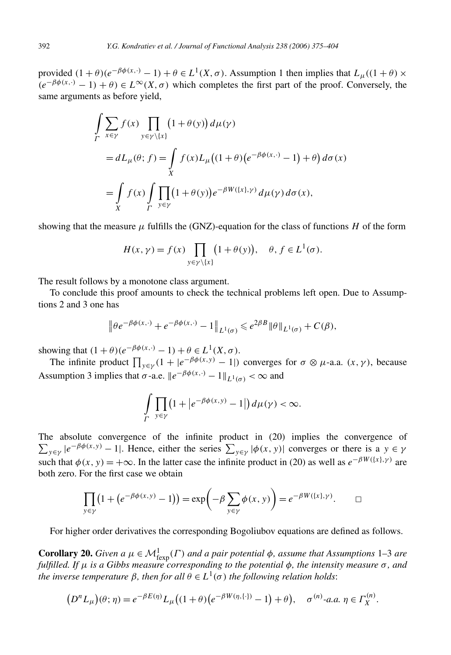provided  $(1 + \theta)(e^{-\beta \phi(x, \cdot)} - 1) + \theta \in L^1(X, \sigma)$ . Assumption 1 then implies that  $L_\mu((1 + \theta) \times$  $(e^{-\beta \phi(x, \cdot)} - 1) + \theta \in L^{\infty}(X, \sigma)$  which completes the first part of the proof. Conversely, the same arguments as before yield,

$$
\int_{\Gamma} \sum_{x \in \gamma} f(x) \prod_{y \in \gamma \setminus \{x\}} (1 + \theta(y)) d\mu(\gamma)
$$
\n
$$
= dL_{\mu}(\theta; f) = \int_{X} f(x) L_{\mu} \big( (1 + \theta) \big( e^{-\beta \phi(x, \cdot)} - 1 \big) + \theta \big) d\sigma(x)
$$
\n
$$
= \int_{X} f(x) \int_{\Gamma} \prod_{y \in \gamma} (1 + \theta(y)) e^{-\beta W(\{x\}, \gamma)} d\mu(\gamma) d\sigma(x),
$$

showing that the measure  $\mu$  fulfills the (GNZ)-equation for the class of functions *H* of the form

$$
H(x, \gamma) = f(x) \prod_{y \in \gamma \setminus \{x\}} \left(1 + \theta(y)\right), \quad \theta, f \in L^1(\sigma).
$$

The result follows by a monotone class argument.

To conclude this proof amounts to check the technical problems left open. Due to Assumptions 2 and 3 one has

$$
\left\|\theta e^{-\beta \phi(x,\cdot)}+e^{-\beta \phi(x,\cdot)}-1\right\|_{L^1(\sigma)}\leqslant e^{2\beta B}\|\theta\|_{L^1(\sigma)}+C(\beta),
$$

showing that  $(1 + \theta)(e^{-\beta \phi(x, \cdot)} - 1) + \theta \in L^1(X, \sigma)$ .

The infinite product  $\prod_{y \in \gamma} (1 + |e^{-\beta \phi(x, y)} - 1|)$  converges for  $\sigma \otimes \mu$ -a.a.  $(x, \gamma)$ , because Assumption 3 implies that  $\sigma$ -a.e.  $||e^{-\beta \phi(x, \cdot)} - 1||_{L^1(\sigma)} < \infty$  and

$$
\int_{\Gamma} \prod_{y \in \gamma} \left(1 + \left|e^{-\beta \phi(x, y)} - 1\right|\right) d\mu(\gamma) < \infty.
$$

The absolute convergence of the infinite product in (20) implies the convergence of  $\sum_{y \in \gamma} |e^{-\beta \phi(x, y)} - 1|$ . Hence, either the series  $\sum_{y \in \gamma} |\phi(x, y)|$  converges or there is a  $y \in \gamma$ such that  $\phi(x, y) = +\infty$ . In the latter case the infinite product in (20) as well as  $e^{-\beta W(\lbrace x \rbrace, \gamma)}$  are both zero. For the first case we obtain

$$
\prod_{y \in \gamma} (1 + (e^{-\beta \phi(x, y)} - 1)) = \exp\left(-\beta \sum_{y \in \gamma} \phi(x, y)\right) = e^{-\beta W(\{x\}, \gamma)}.\quad \Box
$$

For higher order derivatives the corresponding Bogoliubov equations are defined as follows.

**Corollary 20.** *Given a*  $\mu \in M_{\text{fexp}}^1(\Gamma)$  *and a pair potential*  $\phi$ *, assume that Assumptions* 1–3 *are fulfilled. If*  $\mu$  *is a Gibbs measure corresponding to the potential*  $\phi$ *, the intensity measure*  $\sigma$ *, and the inverse temperature*  $\beta$ , then for all  $\theta \in L^1(\sigma)$  the following relation holds:

$$
(DnL\mu)(\theta; \eta) = e^{-\beta E(\eta)}L_{\mu}((1+\theta)(e^{-\beta W(\eta,\{\cdot\})}-1)+\theta), \quad \sigma^{(n)}\text{-}a.a. \eta \in \Gamma_X^{(n)}.
$$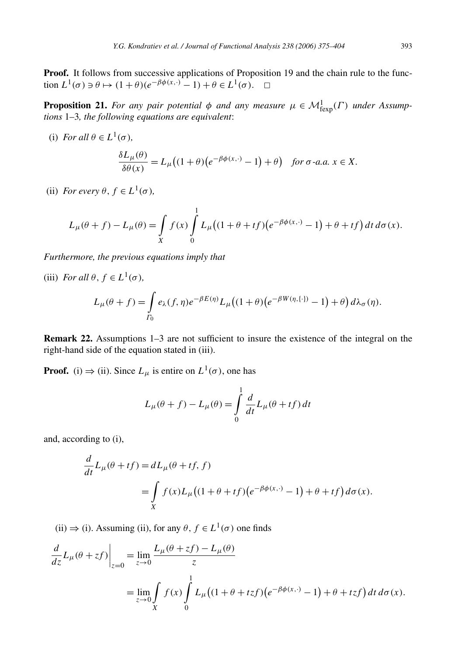**Proof.** It follows from successive applications of Proposition 19 and the chain rule to the function  $L^1(\sigma) \ni \theta \mapsto (1 + \theta)(e^{-\beta \phi(x, \cdot)} - 1) + \theta \in L^1(\sigma)$ .  $\Box$ 

**Proposition 21.** *For any pair potential*  $\phi$  *and any measure*  $\mu \in M_{\text{fexp}}^1(\Gamma)$  *under* Assump*tions* 1–3*, the following equations are equivalent*:

(i) *For all*  $\theta \in L^1(\sigma)$ *,* 

$$
\frac{\delta L_{\mu}(\theta)}{\delta \theta(x)} = L_{\mu}\big((1+\theta)\big(e^{-\beta \phi(x,\cdot)} - 1\big) + \theta\big) \quad \text{for } \sigma\text{-}a.a. \ x \in X.
$$

(ii) *For every*  $\theta$ ,  $f \in L^1(\sigma)$ ,

$$
L_{\mu}(\theta + f) - L_{\mu}(\theta) = \int_{X} f(x) \int_{0}^{1} L_{\mu} \big( (1 + \theta + tf) \big( e^{-\beta \phi(x, \cdot)} - 1 \big) + \theta + tf \big) dt d\sigma(x).
$$

*Furthermore, the previous equations imply that*

(iii) *For all*  $\theta$ *,*  $f \in L^1(\sigma)$ *,* 

$$
L_{\mu}(\theta + f) = \int_{\Gamma_0} e_{\lambda}(f, \eta) e^{-\beta E(\eta)} L_{\mu} \big( (1 + \theta) \big( e^{-\beta W(\eta, \{\cdot\})} - 1 \big) + \theta \big) d\lambda_{\sigma}(\eta).
$$

**Remark 22.** Assumptions 1–3 are not sufficient to insure the existence of the integral on the right-hand side of the equation stated in (iii).

**Proof.** (i)  $\Rightarrow$  (ii). Since  $L_{\mu}$  is entire on  $L^1(\sigma)$ , one has

$$
L_{\mu}(\theta + f) - L_{\mu}(\theta) = \int_{0}^{1} \frac{d}{dt} L_{\mu}(\theta + tf) dt
$$

and, according to (i),

$$
\frac{d}{dt}L_{\mu}(\theta + tf) = dL_{\mu}(\theta + tf, f)
$$
  
= 
$$
\int_{X} f(x)L_{\mu}((1 + \theta + tf)(e^{-\beta\phi(x, \cdot)} - 1) + \theta + tf) d\sigma(x).
$$

(ii)  $\Rightarrow$  (i). Assuming (ii), for any  $\theta$ ,  $f \in L^1(\sigma)$  one finds

$$
\frac{d}{dz}L_{\mu}(\theta + zf)\Big|_{z=0} = \lim_{z \to 0} \frac{L_{\mu}(\theta + zf) - L_{\mu}(\theta)}{z}
$$

$$
= \lim_{z \to 0} \int_{X} f(x) \int_{0}^{1} L_{\mu} \big( (1 + \theta + tzf) \big( e^{-\beta \phi(x, \cdot)} - 1 \big) + \theta + tzf \big) dt d\sigma(x).
$$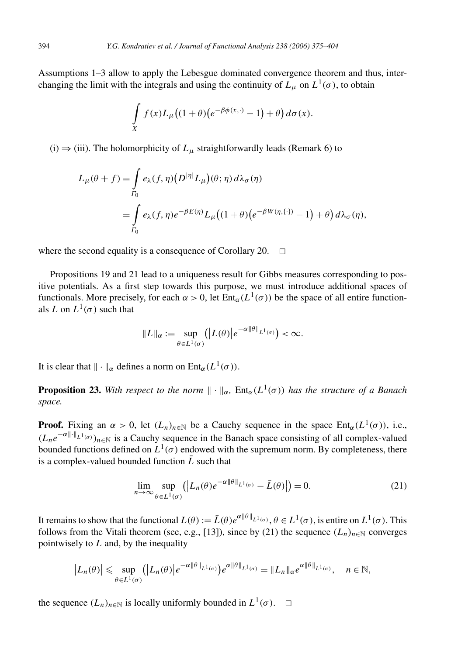Assumptions 1–3 allow to apply the Lebesgue dominated convergence theorem and thus, interchanging the limit with the integrals and using the continuity of  $L<sub>u</sub>$  on  $L<sup>1</sup>(\sigma)$ , to obtain

$$
\int\limits_X f(x)L_\mu\big((1+\theta)\big(e^{-\beta\phi(x,\cdot)}-1\big)+\theta\big)d\sigma(x).
$$

(i)  $\Rightarrow$  (iii). The holomorphicity of  $L<sub>\mu</sub>$  straightforwardly leads (Remark 6) to

$$
L_{\mu}(\theta + f) = \int_{\Gamma_0} e_{\lambda}(f, \eta) \left( D^{|\eta|} L_{\mu} \right) (\theta; \eta) d\lambda_{\sigma}(\eta)
$$
  
= 
$$
\int_{\Gamma_0} e_{\lambda}(f, \eta) e^{-\beta E(\eta)} L_{\mu} \left( (1 + \theta) \left( e^{-\beta W(\eta, \{\cdot\})} - 1 \right) + \theta \right) d\lambda_{\sigma}(\eta),
$$

where the second equality is a consequence of Corollary 20.  $\Box$ 

Propositions 19 and 21 lead to a uniqueness result for Gibbs measures corresponding to positive potentials. As a first step towards this purpose, we must introduce additional spaces of functionals. More precisely, for each  $\alpha > 0$ , let  $Ent_{\alpha}(L^1(\sigma))$  be the space of all entire functionals *L* on  $L^1(\sigma)$  such that

$$
||L||_{\alpha} := \sup_{\theta \in L^1(\sigma)} (|L(\theta)|e^{-\alpha ||\theta||_{L^1(\sigma)}}) < \infty.
$$

It is clear that  $\|\cdot\|_{\alpha}$  defines a norm on Ent<sub>α</sub>( $L^1(\sigma)$ ).

**Proposition 23.** With respect to the norm  $\|\cdot\|_{\alpha}$ , Ent<sub> $\alpha$ </sub>(L<sup>1</sup>( $\sigma$ )) has the structure of a Banach *space.*

**Proof.** Fixing an  $\alpha > 0$ , let  $(L_n)_{n \in \mathbb{N}}$  be a Cauchy sequence in the space  $Ent_{\alpha}(L^1(\sigma))$ , i.e.,  $(L_n e^{-\alpha ||\cdot||_{L^1(\sigma)}})_{n \in \mathbb{N}}$  is a Cauchy sequence in the Banach space consisting of all complex-valued bounded functions defined on  $L^1(\sigma)$  endowed with the supremum norm. By completeness, there is a complex-valued bounded function  $L$  such that

$$
\lim_{n \to \infty} \sup_{\theta \in L^1(\sigma)} (|L_n(\theta)e^{-\alpha \|\theta\|_{L^1(\sigma)}} - \bar{L}(\theta)|) = 0.
$$
\n(21)

It remains to show that the functional  $L(\theta) := \bar{L}(\theta)e^{\alpha \|\theta\|_{L^1(\sigma)}}, \theta \in L^1(\sigma)$ , is entire on  $L^1(\sigma)$ . This follows from the Vitali theorem (see, e.g., [13]), since by (21) the sequence  $(L_n)_{n \in \mathbb{N}}$  converges pointwisely to *L* and, by the inequality

$$
\left|L_n(\theta)\right| \leq \sup_{\theta \in L^1(\sigma)} \left( \left|L_n(\theta)\right| e^{-\alpha \|\theta\|_{L^1(\sigma)}} \right) e^{\alpha \|\theta\|_{L^1(\sigma)}} = \|L_n\|_{\alpha} e^{\alpha \|\theta\|_{L^1(\sigma)}}, \quad n \in \mathbb{N},
$$

the sequence  $(L_n)_{n \in \mathbb{N}}$  is locally uniformly bounded in  $L^1(\sigma)$ .  $\Box$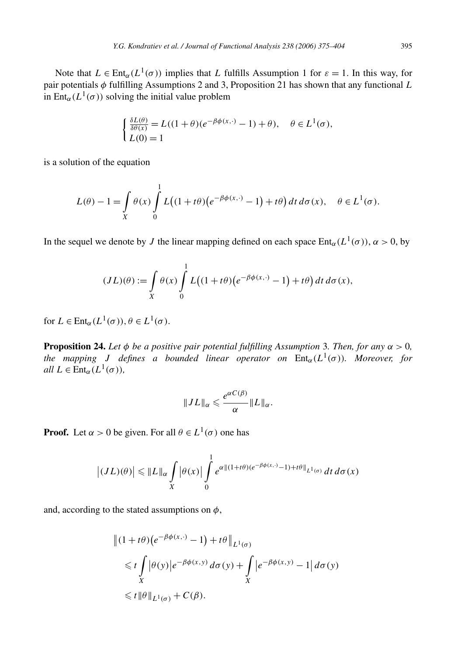Note that  $L \in \text{Ent}_{\alpha}(L^1(\sigma))$  implies that *L* fulfills Assumption 1 for  $\varepsilon = 1$ . In this way, for pair potentials *φ* fulfilling Assumptions 2 and 3, Proposition 21 has shown that any functional *L* in Ent<sub>α</sub>( $L^1(\sigma)$ ) solving the initial value problem

$$
\begin{cases} \frac{\delta L(\theta)}{\delta \theta(x)} = L((1+\theta)(e^{-\beta \phi(x,\cdot)} - 1) + \theta), & \theta \in L^1(\sigma), \\ L(0) = 1 \end{cases}
$$

is a solution of the equation

$$
L(\theta) - 1 = \int\limits_X \theta(x) \int\limits_0^1 L\big((1+t\theta)\big(e^{-\beta\phi(x,\cdot)} - 1\big) + t\theta\big) dt d\sigma(x), \quad \theta \in L^1(\sigma).
$$

In the sequel we denote by *J* the linear mapping defined on each space  $Ent_\alpha(L^1(\sigma))$ ,  $\alpha > 0$ , by

$$
(JL)(\theta) := \int\limits_X \theta(x) \int\limits_0^1 L\big((1+t\theta)\big(e^{-\beta\phi(x,\cdot)}-1\big)+t\theta\big) dt d\sigma(x),
$$

for  $L \in \text{Ent}_{\alpha}(L^1(\sigma)), \theta \in L^1(\sigma)$ .

**Proposition 24.** *Let*  $\phi$  *be a positive pair potential fulfilling Assumption 3. Then, for any*  $\alpha > 0$ *, the mapping J defines a bounded linear operator on*  $Ent_\alpha(L^1(\sigma))$ *. Moreover, for all*  $L \in \text{Ent}_{\alpha}(L^1(\sigma))$ *,* 

$$
||JL||_{\alpha} \leqslant \frac{e^{\alpha C(\beta)}}{\alpha} ||L||_{\alpha}.
$$

**Proof.** Let  $\alpha > 0$  be given. For all  $\theta \in L^1(\sigma)$  one has

$$
\left| (JL)(\theta) \right| \leq \|L\|_{\alpha} \int\limits_X |\theta(x)| \int\limits_0^1 e^{\alpha \| (1+t\theta)(e^{-\beta \phi(x,\cdot)}-1)+t\theta \|_{L^1(\sigma)}} \, dt \, d\sigma(x)
$$

and, according to the stated assumptions on *φ*,

$$
\|(1+t\theta)(e^{-\beta\phi(x,\cdot)}-1)+t\theta\|_{L^1(\sigma)}
$$
  
\n
$$
\leq t \int_X |\theta(y)|e^{-\beta\phi(x,y)} d\sigma(y) + \int_X |e^{-\beta\phi(x,y)}-1| d\sigma(y)
$$
  
\n
$$
\leq t \|\theta\|_{L^1(\sigma)} + C(\beta).
$$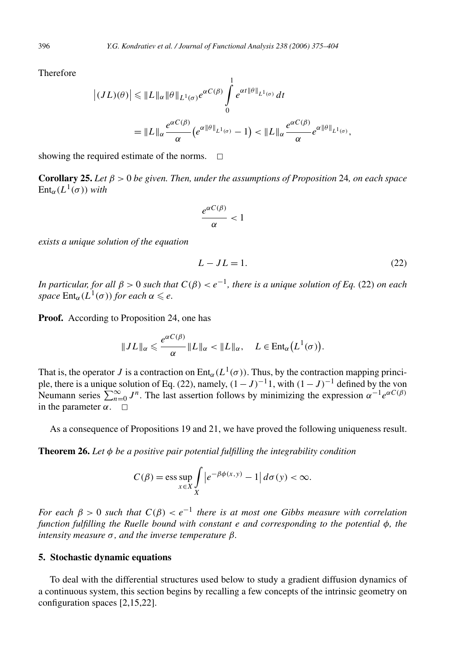Therefore

$$
\left| (JL)(\theta) \right| \leq \|L\|_{\alpha} \|\theta\|_{L^{1}(\sigma)} e^{\alpha C(\beta)} \int_{0}^{1} e^{\alpha t \|\theta\|_{L^{1}(\sigma)}} dt
$$
  
= 
$$
\|L\|_{\alpha} \frac{e^{\alpha C(\beta)}}{\alpha} (e^{\alpha \|\theta\|_{L^{1}(\sigma)}} - 1) < \|L\|_{\alpha} \frac{e^{\alpha C(\beta)}}{\alpha} e^{\alpha \|\theta\|_{L^{1}(\sigma)}},
$$

showing the required estimate of the norms.  $\Box$ 

**Corollary 25.** *Let β >* 0 *be given. Then, under the assumptions of Proposition* 24*, on each space*  $Ent_\alpha(L^1(\sigma))$  *with* 

$$
\frac{e^{\alpha C(\beta)}}{\alpha} < 1
$$

*exists a unique solution of the equation*

$$
L - JL = 1.\t(22)
$$

*In particular, for all*  $\beta > 0$  *such that*  $C(\beta) < e^{-1}$ *, there is a unique solution of Eq.* (22) *on each space*  $Ent_{\alpha}(L^1(\sigma))$  *for each*  $\alpha \leqslant e$ *.* 

**Proof.** According to Proposition 24, one has

$$
||JL||_{\alpha} \leqslant \frac{e^{\alpha C(\beta)}}{\alpha} ||L||_{\alpha} < ||L||_{\alpha}, \quad L \in \text{Ent}_{\alpha}\big(L^1(\sigma)\big).
$$

That is, the operator *J* is a contraction on Ent<sub>α</sub>( $L^1(\sigma)$ ). Thus, by the contraction mapping principle, there is a unique solution of Eq. (22), namely,  $(1 – J)^{-1}$ 1, with  $(1 – J)^{-1}$  defined by the von Neumann series  $\sum_{n=0}^{\infty} J^n$ . The last assertion follows by minimizing the expression  $\alpha^{-1}e^{\alpha C(\beta)}$ in the parameter  $\alpha$ .  $\Box$ 

As a consequence of Propositions 19 and 21, we have proved the following uniqueness result.

**Theorem 26.** *Let φ be a positive pair potential fulfilling the integrability condition*

$$
C(\beta) = \operatorname{ess} \sup_{x \in X} \int\limits_X \left| e^{-\beta \phi(x, y)} - 1 \right| d\sigma(y) < \infty.
$$

*For each*  $\beta > 0$  *such that*  $C(\beta) < e^{-1}$  *there is at most one Gibbs measure with correlation function fulfilling the Ruelle bound with constant e and corresponding to the potential φ, the intensity measure σ , and the inverse temperature β.*

## **5. Stochastic dynamic equations**

To deal with the differential structures used below to study a gradient diffusion dynamics of a continuous system, this section begins by recalling a few concepts of the intrinsic geometry on configuration spaces [2,15,22].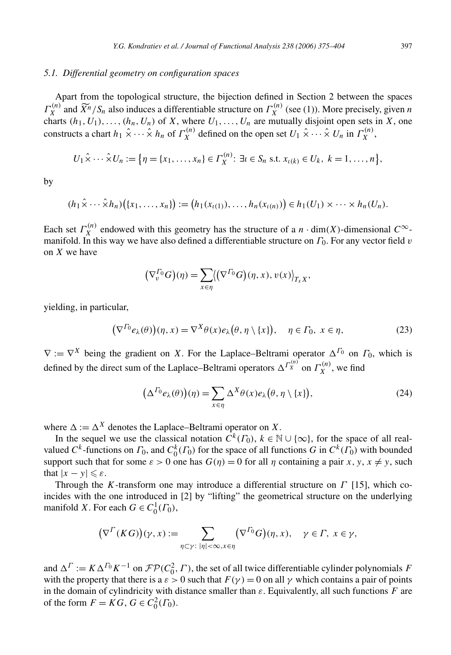## *5.1. Differential geometry on configuration spaces*

Apart from the topological structure, the bijection defined in Section 2 between the spaces  $\Gamma_X^{(n)}$  and  $\widetilde{X}^n/S_n$  also induces a differentiable structure on  $\Gamma_X^{(n)}$  (see (1)). More precisely, given *n* charts  $(h_1, U_1), \ldots, (h_n, U_n)$  of *X*, where  $U_1, \ldots, U_n$  are mutually disjoint open sets in *X*, one constructs a chart  $h_1 \hat{\times} \cdots \hat{\times} h_n$  of  $\Gamma_X^{(n)}$  defined on the open set  $U_1 \hat{\times} \cdots \hat{\times} U_n$  in  $\Gamma_X^{(n)}$ ,

$$
U_1 \hat{\times} \cdots \hat{\times} U_n := \{ \eta = \{x_1, \ldots, x_n\} \in \Gamma_X^{(n)} : \exists \iota \in S_n \text{ s.t. } x_{\iota(k)} \in U_k, \ k = 1, \ldots, n \},
$$

by

$$
(h_1\hat{\times}\cdots\hat{\times}h_n)\big(\{x_1,\ldots,x_n\}\big):=\big(h_1(x_{\iota(1)}),\ldots,h_n(x_{\iota(n)})\big)\in h_1(U_1)\times\cdots\times h_n(U_n).
$$

Each set  $\Gamma_X^{(n)}$  endowed with this geometry has the structure of a *n* · dim(*X*)-dimensional  $C^\infty$ manifold. In this way we have also defined a differentiable structure on *Γ*0. For any vector field *v* on *X* we have

$$
(\nabla_v^{\Gamma_0} G)(\eta) = \sum_{x \in \eta} ((\nabla^{\Gamma_0} G)(\eta, x), v(x))_{T_x X},
$$

yielding, in particular,

$$
\left(\nabla^{\Gamma_0} e_\lambda(\theta)\right)(\eta, x) = \nabla^X \theta(x) e_\lambda\big(\theta, \eta \setminus \{x\}\big), \quad \eta \in \Gamma_0, \ x \in \eta,\tag{23}
$$

 $\nabla := \nabla^X$  being the gradient on *X*. For the Laplace–Beltrami operator  $\Delta^{T_0}$  on  $T_0$ , which is defined by the direct sum of the Laplace–Beltrami operators  $\Delta^{r_X^{(n)}}$  on  $\Gamma_X^{(n)}$ , we find

$$
\left(\Delta^{T_0}e_\lambda(\theta)\right)(\eta) = \sum_{x \in \eta} \Delta^X \theta(x)e_\lambda(\theta, \eta \setminus \{x\}),\tag{24}
$$

where  $\Delta := \Delta^X$  denotes the Laplace–Beltrami operator on *X*.

In the sequel we use the classical notation  $C^k(\Gamma_0)$ ,  $k \in \mathbb{N} \cup \{\infty\}$ , for the space of all realvalued  $C^k$ -functions on  $\Gamma_0$ , and  $C_0^k(\Gamma_0)$  for the space of all functions *G* in  $C^k(\Gamma_0)$  with bounded support such that for some  $\varepsilon > 0$  one has  $G(\eta) = 0$  for all  $\eta$  containing a pair *x*, *y*, *x*  $\neq$  *y*, such that  $|x - y| \leqslant \varepsilon$ .

Through the *K*-transform one may introduce a differential structure on *Γ* [15], which coincides with the one introduced in [2] by "lifting" the geometrical structure on the underlying manifold *X*. For each  $G \in C_0^1(\Gamma_0)$ ,

$$
\left(\nabla^{\Gamma}(KG)\right)(\gamma, x) := \sum_{\eta \subset \gamma: \ |\eta| < \infty, x \in \eta} \left(\nabla^{\Gamma_0} G\right)(\eta, x), \quad \gamma \in \Gamma, \ x \in \gamma,
$$

and  $\Delta^{\Gamma} := K \Delta^{T_0} K^{-1}$  on  $\mathcal{FP}(C_0^2, \Gamma)$ , the set of all twice differentiable cylinder polynomials *F* with the property that there is a  $\varepsilon > 0$  such that  $F(\gamma) = 0$  on all  $\gamma$  which contains a pair of points in the domain of cylindricity with distance smaller than *ε*. Equivalently, all such functions *F* are of the form  $F = KG$ ,  $G \in C_0^2(\Gamma_0)$ .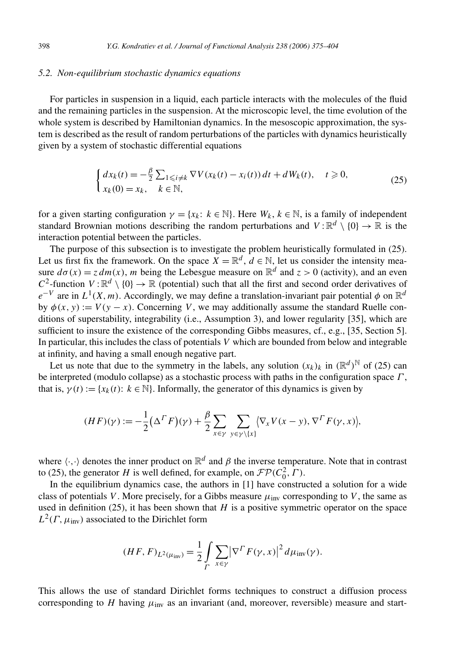## *5.2. Non-equilibrium stochastic dynamics equations*

For particles in suspension in a liquid, each particle interacts with the molecules of the fluid and the remaining particles in the suspension. At the microscopic level, the time evolution of the whole system is described by Hamiltonian dynamics. In the mesoscopic approximation, the system is described as the result of random perturbations of the particles with dynamics heuristically given by a system of stochastic differential equations

$$
\begin{cases} dx_k(t) = -\frac{\beta}{2} \sum_{1 \le i \ne k} \nabla V(x_k(t) - x_i(t)) dt + dW_k(t), \quad t \ge 0, \\ x_k(0) = x_k, \quad k \in \mathbb{N}, \end{cases}
$$
(25)

for a given starting configuration  $\gamma = \{x_k: k \in \mathbb{N}\}\$ . Here  $W_k, k \in \mathbb{N}$ , is a family of independent standard Brownian motions describing the random perturbations and  $V : \mathbb{R}^d \setminus \{0\} \to \mathbb{R}$  is the interaction potential between the particles.

The purpose of this subsection is to investigate the problem heuristically formulated in (25). Let us first fix the framework. On the space  $X = \mathbb{R}^d$ ,  $d \in \mathbb{N}$ , let us consider the intensity measure  $d\sigma(x) = z dm(x)$ , *m* being the Lebesgue measure on  $\mathbb{R}^d$  and  $z > 0$  (activity), and an even  $C^2$ -function  $V : \mathbb{R}^d \setminus \{0\} \to \mathbb{R}$  (potential) such that all the first and second order derivatives of  $e^{-V}$  are in  $L^1(X, m)$ . Accordingly, we may define a translation-invariant pair potential  $\phi$  on  $\mathbb{R}^d$ by  $\phi(x, y) := V(y - x)$ . Concerning *V*, we may additionally assume the standard Ruelle conditions of superstability, integrability (i.e., Assumption 3), and lower regularity [35], which are sufficient to insure the existence of the corresponding Gibbs measures, cf., e.g., [35, Section 5]. In particular, this includes the class of potentials *V* which are bounded from below and integrable at infinity, and having a small enough negative part.

Let us note that due to the symmetry in the labels, any solution  $(x_k)_k$  in  $(\mathbb{R}^d)^{\mathbb{N}}$  of (25) can be interpreted (modulo collapse) as a stochastic process with paths in the configuration space *Γ* , that is,  $\gamma(t) := \{x_k(t): k \in \mathbb{N}\}\$ . Informally, the generator of this dynamics is given by

$$
(HF)(\gamma) := -\frac{1}{2} (\Delta^{\Gamma} F)(\gamma) + \frac{\beta}{2} \sum_{x \in \gamma} \sum_{y \in \gamma \setminus \{x\}} \langle \nabla_x V(x - y), \nabla^{\Gamma} F(\gamma, x) \rangle,
$$

where  $\langle \cdot, \cdot \rangle$  denotes the inner product on  $\mathbb{R}^d$  and  $\beta$  the inverse temperature. Note that in contrast to (25), the generator *H* is well defined, for example, on  $\mathcal{FP}(C_0^2, \Gamma)$ .

In the equilibrium dynamics case, the authors in [1] have constructed a solution for a wide class of potentials *V*. More precisely, for a Gibbs measure  $\mu_{inv}$  corresponding to *V*, the same as used in definition  $(25)$ , it has been shown that *H* is a positive symmetric operator on the space  $L^2(\Gamma, \mu_{\text{inv}})$  associated to the Dirichlet form

$$
(HF, F)_{L^2(\mu_{\text{inv}})} = \frac{1}{2} \int\limits_{\Gamma} \sum_{x \in \gamma} \left| \nabla^{\Gamma} F(\gamma, x) \right|^2 d\mu_{\text{inv}}(\gamma).
$$

This allows the use of standard Dirichlet forms techniques to construct a diffusion process corresponding to *H* having  $\mu_{\text{inv}}$  as an invariant (and, moreover, reversible) measure and start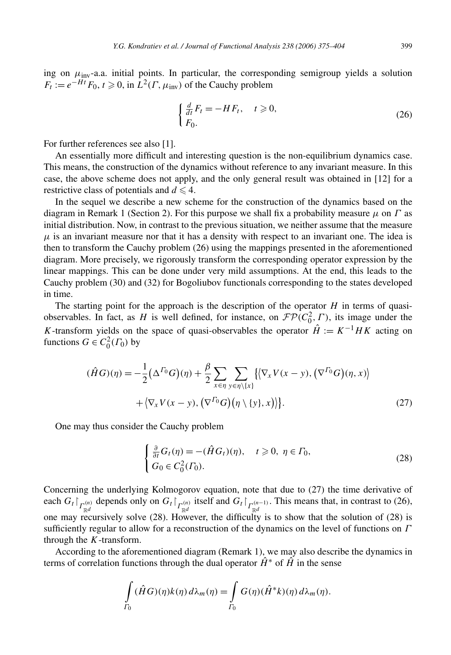ing on  $\mu_{inv}$ -a.a. initial points. In particular, the corresponding semigroup yields a solution  $F_t := e^{-Ht} F_0$ ,  $t \ge 0$ , in  $L^2(\Gamma, \mu_{\text{inv}})$  of the Cauchy problem

$$
\begin{cases} \frac{d}{dt}F_t = -HF_t, & t \geq 0, \\ F_0. \end{cases}
$$
 (26)

For further references see also [1].

An essentially more difficult and interesting question is the non-equilibrium dynamics case. This means, the construction of the dynamics without reference to any invariant measure. In this case, the above scheme does not apply, and the only general result was obtained in [12] for a restrictive class of potentials and  $d \leq 4$ .

In the sequel we describe a new scheme for the construction of the dynamics based on the diagram in Remark 1 (Section 2). For this purpose we shall fix a probability measure *μ* on *Γ* as initial distribution. Now, in contrast to the previous situation, we neither assume that the measure  $\mu$  is an invariant measure nor that it has a density with respect to an invariant one. The idea is then to transform the Cauchy problem (26) using the mappings presented in the aforementioned diagram. More precisely, we rigorously transform the corresponding operator expression by the linear mappings. This can be done under very mild assumptions. At the end, this leads to the Cauchy problem (30) and (32) for Bogoliubov functionals corresponding to the states developed in time.

The starting point for the approach is the description of the operator *H* in terms of quasiobservables. In fact, as *H* is well defined, for instance, on  $\mathcal{FP}(C_0^2, \Gamma)$ , its image under the *K*-transform yields on the space of quasi-observables the operator  $\hat{H}$  :=  $K^{-1}HK$  acting on functions  $G \in C_0^2(\Gamma_0)$  by

$$
(\hat{H}G)(\eta) = -\frac{1}{2} \left( \Delta^{T_0} G \right)(\eta) + \frac{\beta}{2} \sum_{x \in \eta} \sum_{y \in \eta \setminus \{x\}} \left\{ \left\langle \nabla_x V(x - y), \left( \nabla^{T_0} G \right)(\eta, x) \right\rangle \right. \\ \left. + \left\langle \nabla_x V(x - y), \left( \nabla^{T_0} G \right)(\eta \setminus \{y\}, x) \right\rangle \right\} . \tag{27}
$$

One may thus consider the Cauchy problem

$$
\begin{cases} \frac{\partial}{\partial t} G_t(\eta) = -(\hat{H} G_t)(\eta), \quad t \geqslant 0, \ \eta \in \Gamma_0, \\ G_0 \in C_0^2(\Gamma_0). \end{cases}
$$
 (28)

Concerning the underlying Kolmogorov equation, note that due to (27) the time derivative of each  $G_t \big|_{\substack{r(m) \text{ and } r}}$  depends only on  $G_t \big|_{\substack{r(m) \text{ and } r}}$  itself and  $G_t \big|_{\substack{r(m-1) \text{ and } r}}$ . This means that, in contrast to (26), one may recursively solve (28). However, the difficulty is to show that the solution of (28) is sufficiently regular to allow for a reconstruction of the dynamics on the level of functions on *Γ* through the *K*-transform.

According to the aforementioned diagram (Remark 1), we may also describe the dynamics in terms of correlation functions through the dual operator  $\hat{H}^*$  of  $\hat{H}$  in the sense

$$
\int_{\Gamma_0} (\hat{H}G)(\eta) k(\eta) d\lambda_m(\eta) = \int_{\Gamma_0} G(\eta) (\hat{H}^* k)(\eta) d\lambda_m(\eta).
$$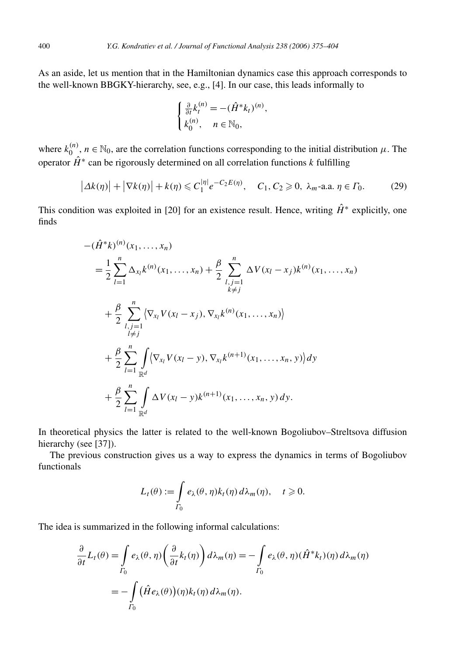As an aside, let us mention that in the Hamiltonian dynamics case this approach corresponds to the well-known BBGKY-hierarchy, see, e.g., [4]. In our case, this leads informally to

$$
\begin{cases} \frac{\partial}{\partial t} k_t^{(n)} = -(\hat{H}^* k_t)^{(n)}, \\ k_0^{(n)}, \quad n \in \mathbb{N}_0, \end{cases}
$$

where  $k_0^{(n)}$ ,  $n \in \mathbb{N}_0$ , are the correlation functions corresponding to the initial distribution  $\mu$ . The operator  $\hat{H}^*$  can be rigorously determined on all correlation functions  $k$  fulfilling

$$
\left|\Delta k(\eta)\right| + \left|\nabla k(\eta)\right| + k(\eta) \leqslant C_1^{|\eta|} e^{-C_2 E(\eta)}, \quad C_1, C_2 \geqslant 0, \ \lambda_m\text{-a.a. } \eta \in \Gamma_0. \tag{29}
$$

This condition was exploited in [20] for an existence result. Hence, writing  $\hat{H}^*$  explicitly, one finds

$$
-(\hat{H}^{*}k)^{(n)}(x_{1},...,x_{n})
$$
\n
$$
= \frac{1}{2} \sum_{l=1}^{n} \Delta_{x_{l}}k^{(n)}(x_{1},...,x_{n}) + \frac{\beta}{2} \sum_{\substack{l,j=1 \ l \neq j}}^{n} \Delta V(x_{l}-x_{j})k^{(n)}(x_{1},...,x_{n})
$$
\n
$$
+ \frac{\beta}{2} \sum_{\substack{l,j=1 \ l \neq j}}^{n} \langle \nabla_{x_{l}}V(x_{l}-x_{j}), \nabla_{x_{l}}k^{(n)}(x_{1},...,x_{n}) \rangle
$$
\n
$$
+ \frac{\beta}{2} \sum_{l=1}^{n} \int_{\mathbb{R}^{d}} \langle \nabla_{x_{l}}V(x_{l}-y), \nabla_{x_{l}}k^{(n+1)}(x_{1},...,x_{n},y) \rangle dy
$$
\n
$$
+ \frac{\beta}{2} \sum_{l=1}^{n} \int_{\mathbb{R}^{d}} \Delta V(x_{l}-y)k^{(n+1)}(x_{1},...,x_{n},y) dy.
$$

In theoretical physics the latter is related to the well-known Bogoliubov–Streltsova diffusion hierarchy (see [37]).

The previous construction gives us a way to express the dynamics in terms of Bogoliubov functionals

$$
L_t(\theta) := \int\limits_{\Gamma_0} e_\lambda(\theta, \eta) k_t(\eta) \, d\lambda_m(\eta), \quad t \geq 0.
$$

The idea is summarized in the following informal calculations:

$$
\frac{\partial}{\partial t} L_t(\theta) = \int_{\Gamma_0} e_\lambda(\theta, \eta) \left( \frac{\partial}{\partial t} k_t(\eta) \right) d\lambda_m(\eta) = -\int_{\Gamma_0} e_\lambda(\theta, \eta) (\hat{H}^* k_t)(\eta) d\lambda_m(\eta)
$$

$$
= -\int_{\Gamma_0} (\hat{H} e_\lambda(\theta))(\eta) k_t(\eta) d\lambda_m(\eta).
$$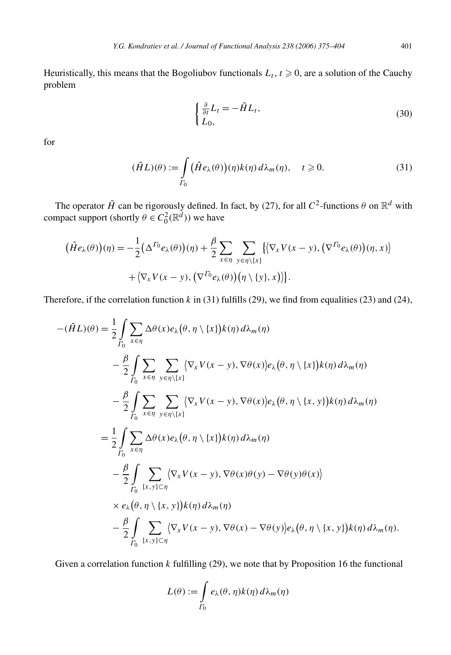Heuristically, this means that the Bogoliubov functionals  $L_t$ ,  $t \ge 0$ , are a solution of the Cauchy problem

$$
\begin{cases} \frac{\partial}{\partial t} L_t = -\tilde{H} L_t, \\ L_0, \end{cases} \tag{30}
$$

for

$$
(\tilde{H}L)(\theta) := \int_{\Gamma_0} \left( \hat{H} e_\lambda(\theta) \right) (\eta) k(\eta) \, d\lambda_m(\eta), \quad t \geqslant 0. \tag{31}
$$

The operator  $\tilde{H}$  can be rigorously defined. In fact, by (27), for all  $C^2$ -functions  $\theta$  on  $\mathbb{R}^d$  with compact support (shortly  $\theta \in C_0^2(\mathbb{R}^d)$ ) we have

$$
(\hat{H}e_{\lambda}(\theta))(\eta) = -\frac{1}{2}(\Delta^{T_0}e_{\lambda}(\theta))(\eta) + \frac{\beta}{2} \sum_{x \in \eta} \sum_{y \in \eta \setminus \{x\}} \{ \langle \nabla_x V(x - y), (\nabla^{T_0}e_{\lambda}(\theta))(\eta, x) \rangle + \langle \nabla_x V(x - y), (\nabla^{T_0}e_{\lambda}(\theta))(\eta \setminus \{y\}, x) \rangle \}.
$$

Therefore, if the correlation function *k* in (31) fulfills (29), we find from equalities (23) and (24),

$$
-(\tilde{H}L)(\theta) = \frac{1}{2} \int_{\Gamma_0} \sum_{x \in \eta} \Delta \theta(x) e_{\lambda} (\theta, \eta \setminus \{x\}) k(\eta) d\lambda_m(\eta)
$$
  

$$
- \frac{\beta}{2} \int_{\Gamma_0} \sum_{x \in \eta} \sum_{y \in \eta \setminus \{x\}} \langle \nabla_x V(x - y), \nabla \theta(x) \rangle e_{\lambda} (\theta, \eta \setminus \{x\}) k(\eta) d\lambda_m(\eta)
$$
  

$$
- \frac{\beta}{2} \int_{\Gamma_0} \sum_{x \in \eta} \sum_{y \in \eta \setminus \{x\}} \langle \nabla_x V(x - y), \nabla \theta(x) \rangle e_{\lambda} (\theta, \eta \setminus \{x, y\}) k(\eta) d\lambda_m(\eta)
$$
  

$$
= \frac{1}{2} \int_{\Gamma_0} \sum_{x \in \eta} \Delta \theta(x) e_{\lambda} (\theta, \eta \setminus \{x\}) k(\eta) d\lambda_m(\eta)
$$
  

$$
- \frac{\beta}{2} \int_{\Gamma_0} \sum_{\{x, y\} \subset \eta} \langle \nabla_x V(x - y), \nabla \theta(x) \theta(y) - \nabla \theta(y) \theta(x) \rangle
$$
  

$$
\times e_{\lambda} (\theta, \eta \setminus \{x, y\}) k(\eta) d\lambda_m(\eta)
$$
  

$$
- \frac{\beta}{2} \int_{\Gamma_0} \sum_{\{x, y\} \subset \eta} \langle \nabla_x V(x - y), \nabla \theta(x) - \nabla \theta(y) \rangle e_{\lambda} (\theta, \eta \setminus \{x, y\}) k(\eta) d\lambda_m(\eta).
$$

Given a correlation function *k* fulfilling (29), we note that by Proposition 16 the functional

$$
L(\theta) := \int_{\Gamma_0} e_{\lambda}(\theta, \eta) k(\eta) d\lambda_m(\eta)
$$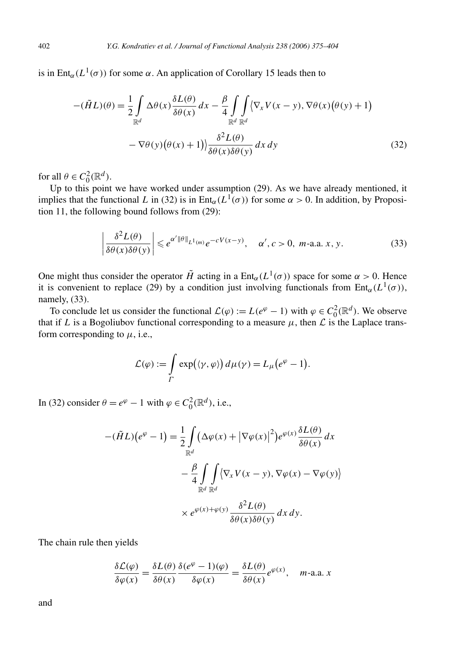is in Ent<sub>α</sub>( $L^1(\sigma)$ ) for some  $\alpha$ . An application of Corollary 15 leads then to

$$
-(\tilde{H}L)(\theta) = \frac{1}{2} \int_{\mathbb{R}^d} \Delta \theta(x) \frac{\delta L(\theta)}{\delta \theta(x)} dx - \frac{\beta}{4} \int_{\mathbb{R}^d} \int_{\mathbb{R}^d} \langle \nabla_x V(x - y), \nabla \theta(x) (\theta(y) + 1) \rangle
$$

$$
- \nabla \theta(y) (\theta(x) + 1) \rangle \frac{\delta^2 L(\theta)}{\delta \theta(x) \delta \theta(y)} dx dy \qquad (32)
$$

for all  $\theta \in C_0^2(\mathbb{R}^d)$ .

Up to this point we have worked under assumption (29). As we have already mentioned, it implies that the functional *L* in (32) is in Ent<sub>α</sub>( $L^{1}(\sigma)$ ) for some  $\alpha > 0$ . In addition, by Proposition 11, the following bound follows from (29):

$$
\left|\frac{\delta^2 L(\theta)}{\delta \theta(x) \delta \theta(y)}\right| \leqslant e^{\alpha' \|\theta\|_{L^1(m)}} e^{-cV(x-y)}, \quad \alpha', c > 0, m\text{-a.a. } x, y. \tag{33}
$$

One might thus consider the operator  $\tilde{H}$  acting in a  $Ent_{\alpha}(L^1(\sigma))$  space for some  $\alpha > 0$ . Hence it is convenient to replace (29) by a condition just involving functionals from Ent<sub>α</sub>( $L^1(\sigma)$ ), namely, (33).

To conclude let us consider the functional  $\mathcal{L}(\varphi) := L(e^{\varphi} - 1)$  with  $\varphi \in C_0^2(\mathbb{R}^d)$ . We observe that if *L* is a Bogoliubov functional corresponding to a measure  $\mu$ , then  $\mathcal L$  is the Laplace transform corresponding to  $\mu$ , i.e.,

$$
\mathcal{L}(\varphi) := \int\limits_{\Gamma} \exp\bigl(\langle \gamma, \varphi \rangle\bigr) d\mu(\gamma) = L_{\mu}\bigl(e^{\varphi} - 1\bigr).
$$

In (32) consider  $\theta = e^{\varphi} - 1$  with  $\varphi \in C_0^2(\mathbb{R}^d)$ , i.e.,

$$
-(\tilde{H}L)(e^{\varphi} - 1) = \frac{1}{2} \int_{\mathbb{R}^d} (\Delta \varphi(x) + |\nabla \varphi(x)|^2) e^{\varphi(x)} \frac{\delta L(\theta)}{\delta \theta(x)} dx
$$

$$
- \frac{\beta}{4} \int_{\mathbb{R}^d} \int_{\mathbb{R}^d} \langle \nabla_x V(x - y), \nabla \varphi(x) - \nabla \varphi(y) \rangle
$$

$$
\times e^{\varphi(x) + \varphi(y)} \frac{\delta^2 L(\theta)}{\delta \theta(x) \delta \theta(y)} dx dy.
$$

The chain rule then yields

$$
\frac{\delta \mathcal{L}(\varphi)}{\delta \varphi(x)} = \frac{\delta L(\theta)}{\delta \theta(x)} \frac{\delta(e^{\varphi} - 1)(\varphi)}{\delta \varphi(x)} = \frac{\delta L(\theta)}{\delta \theta(x)} e^{\varphi(x)}, \quad m\text{-a.a. } x
$$

and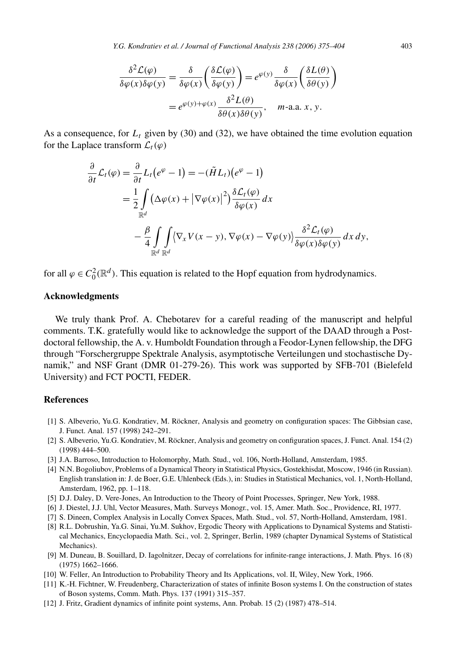*Y.G. Kondratiev et al. / Journal of Functional Analysis 238 (2006) 375–404* 403

$$
\frac{\delta^2 \mathcal{L}(\varphi)}{\delta \varphi(x)\delta \varphi(y)} = \frac{\delta}{\delta \varphi(x)} \left(\frac{\delta \mathcal{L}(\varphi)}{\delta \varphi(y)}\right) = e^{\varphi(y)} \frac{\delta}{\delta \varphi(x)} \left(\frac{\delta L(\theta)}{\delta \theta(y)}\right)
$$

$$
= e^{\varphi(y) + \varphi(x)} \frac{\delta^2 L(\theta)}{\delta \theta(x)\delta \theta(y)}, \quad m \text{-a.a. } x, y.
$$

As a consequence, for  $L<sub>t</sub>$  given by (30) and (32), we have obtained the time evolution equation for the Laplace transform  $\mathcal{L}_t(\varphi)$ 

$$
\frac{\partial}{\partial t} \mathcal{L}_t(\varphi) = \frac{\partial}{\partial t} L_t(e^{\varphi} - 1) = -(\tilde{H}L_t)(e^{\varphi} - 1)
$$
\n
$$
= \frac{1}{2} \int_{\mathbb{R}^d} (\Delta \varphi(x) + |\nabla \varphi(x)|^2) \frac{\delta \mathcal{L}_t(\varphi)}{\delta \varphi(x)} dx
$$
\n
$$
- \frac{\beta}{4} \int_{\mathbb{R}^d} \int_{\mathbb{R}^d} \langle \nabla_x V(x - y), \nabla \varphi(x) - \nabla \varphi(y) \rangle \frac{\delta^2 \mathcal{L}_t(\varphi)}{\delta \varphi(x) \delta \varphi(y)} dx dy,
$$

for all  $\varphi \in C_0^2(\mathbb{R}^d)$ . This equation is related to the Hopf equation from hydrodynamics.

#### **Acknowledgments**

We truly thank Prof. A. Chebotarev for a careful reading of the manuscript and helpful comments. T.K. gratefully would like to acknowledge the support of the DAAD through a Postdoctoral fellowship, the A. v. Humboldt Foundation through a Feodor-Lynen fellowship, the DFG through "Forschergruppe Spektrale Analysis, asymptotische Verteilungen und stochastische Dynamik," and NSF Grant (DMR 01-279-26). This work was supported by SFB-701 (Bielefeld University) and FCT POCTI, FEDER.

#### **References**

- [1] S. Albeverio, Yu.G. Kondratiev, M. Röckner, Analysis and geometry on configuration spaces: The Gibbsian case, J. Funct. Anal. 157 (1998) 242–291.
- [2] S. Albeverio, Yu.G. Kondratiev, M. Röckner, Analysis and geometry on configuration spaces, J. Funct. Anal. 154 (2) (1998) 444–500.
- [3] J.A. Barroso, Introduction to Holomorphy, Math. Stud., vol. 106, North-Holland, Amsterdam, 1985.
- [4] N.N. Bogoliubov, Problems of a Dynamical Theory in Statistical Physics, Gostekhisdat, Moscow, 1946 (in Russian). English translation in: J. de Boer, G.E. Uhlenbeck (Eds.), in: Studies in Statistical Mechanics, vol. 1, North-Holland, Amsterdam, 1962, pp. 1–118.
- [5] D.J. Daley, D. Vere-Jones, An Introduction to the Theory of Point Processes, Springer, New York, 1988.
- [6] J. Diestel, J.J. Uhl, Vector Measures, Math. Surveys Monogr., vol. 15, Amer. Math. Soc., Providence, RI, 1977.
- [7] S. Dineen, Complex Analysis in Locally Convex Spaces, Math. Stud., vol. 57, North-Holland, Amsterdam, 1981.
- [8] R.L. Dobrushin, Ya.G. Sinai, Yu.M. Sukhov, Ergodic Theory with Applications to Dynamical Systems and Statistical Mechanics, Encyclopaedia Math. Sci., vol. 2, Springer, Berlin, 1989 (chapter Dynamical Systems of Statistical Mechanics).
- [9] M. Duneau, B. Souillard, D. Iagolnitzer, Decay of correlations for infinite-range interactions, J. Math. Phys. 16 (8) (1975) 1662–1666.
- [10] W. Feller, An Introduction to Probability Theory and Its Applications, vol. II, Wiley, New York, 1966.
- [11] K.-H. Fichtner, W. Freudenberg, Characterization of states of infinite Boson systems I. On the construction of states of Boson systems, Comm. Math. Phys. 137 (1991) 315–357.
- [12] J. Fritz, Gradient dynamics of infinite point systems, Ann. Probab. 15 (2) (1987) 478–514.